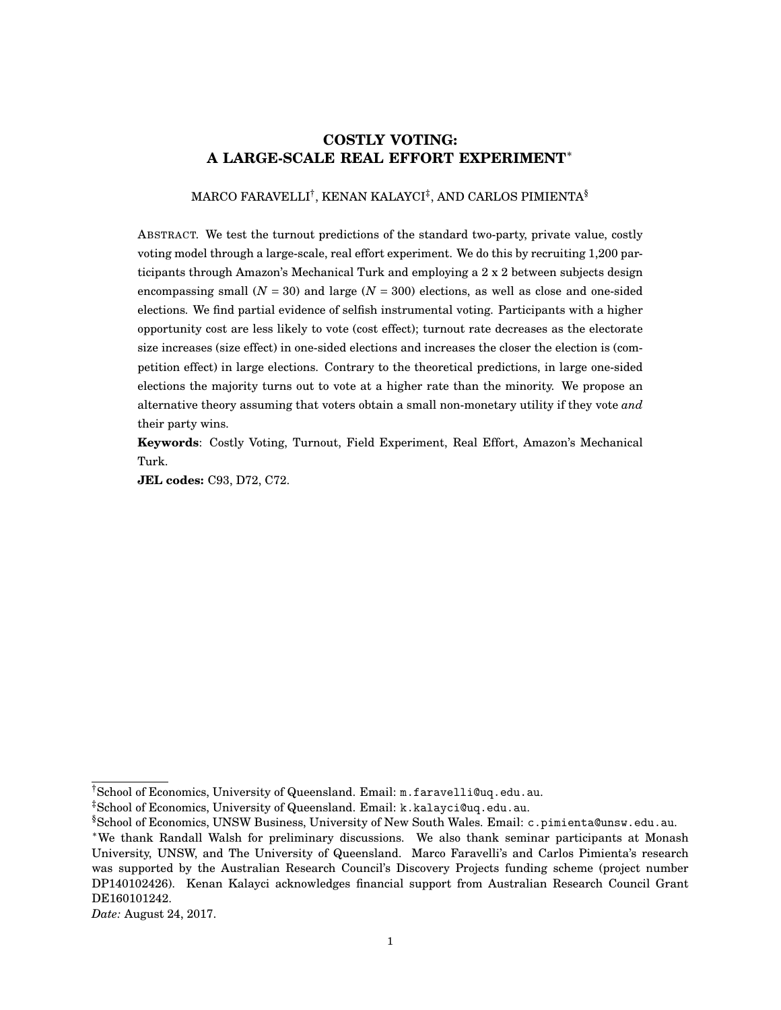# **COSTLY VOTING: A LARGE-SCALE REAL EFFORT EXPERIMENT**<sup>∗</sup>

#### MARCO FARAVELLI† , KENAN KALAYCI‡ , AND CARLOS PIMIENTA§

ABSTRACT. We test the turnout predictions of the standard two-party, private value, costly voting model through a large-scale, real effort experiment. We do this by recruiting 1,200 participants through Amazon's Mechanical Turk and employing a 2 x 2 between subjects design encompassing small  $(N = 30)$  and large  $(N = 300)$  elections, as well as close and one-sided elections. We find partial evidence of selfish instrumental voting. Participants with a higher opportunity cost are less likely to vote (cost effect); turnout rate decreases as the electorate size increases (size effect) in one-sided elections and increases the closer the election is (competition effect) in large elections. Contrary to the theoretical predictions, in large one-sided elections the majority turns out to vote at a higher rate than the minority. We propose an alternative theory assuming that voters obtain a small non-monetary utility if they vote *and* their party wins.

**Keywords**: Costly Voting, Turnout, Field Experiment, Real Effort, Amazon's Mechanical Turk.

**JEL codes:** C93, D72, C72.

*Date:* August 24, 2017.

<sup>†</sup>School of Economics, University of Queensland. Email: m.faravelli@uq.edu.au.

<sup>‡</sup>School of Economics, University of Queensland. Email: k.kalayci@uq.edu.au.

<sup>§</sup>School of Economics, UNSW Business, University of New South Wales. Email: c.pimienta@unsw.edu.au.

<sup>∗</sup>We thank Randall Walsh for preliminary discussions. We also thank seminar participants at Monash University, UNSW, and The University of Queensland. Marco Faravelli's and Carlos Pimienta's research was supported by the Australian Research Council's Discovery Projects funding scheme (project number DP140102426). Kenan Kalayci acknowledges financial support from Australian Research Council Grant DE160101242.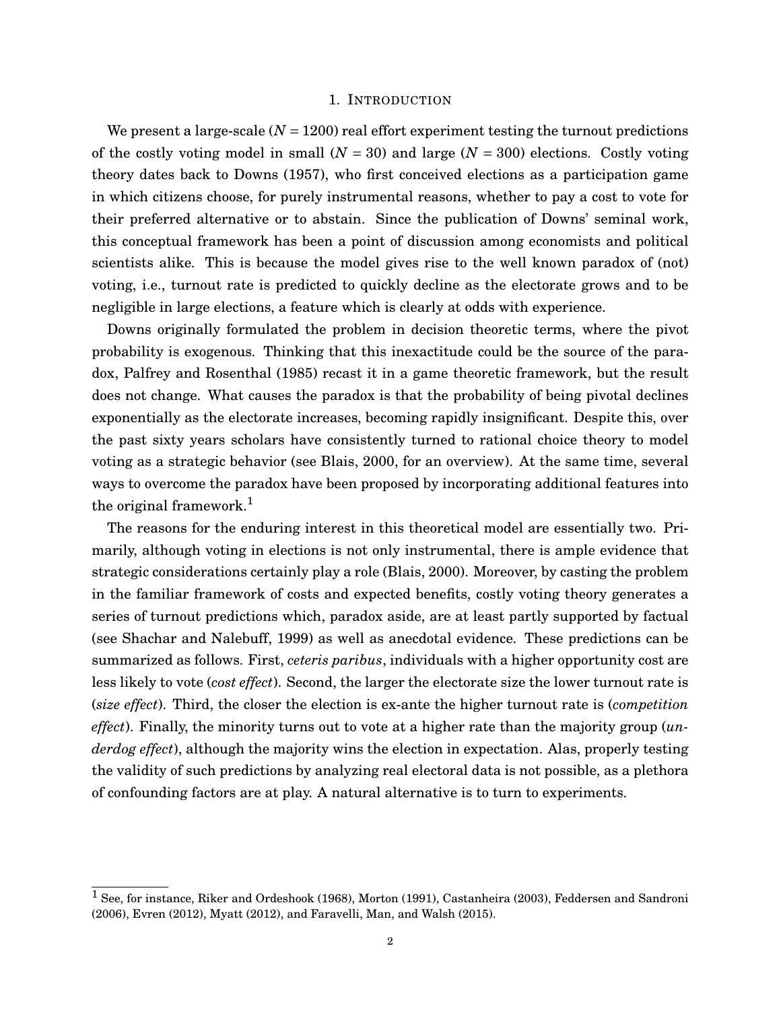### 1. INTRODUCTION

We present a large-scale  $(N = 1200)$  real effort experiment testing the turnout predictions of the costly voting model in small  $(N = 30)$  and large  $(N = 300)$  elections. Costly voting theory dates back to [Downs](#page-30-0) [\(1957\)](#page-30-0), who first conceived elections as a participation game in which citizens choose, for purely instrumental reasons, whether to pay a cost to vote for their preferred alternative or to abstain. Since the publication of Downs' seminal work, this conceptual framework has been a point of discussion among economists and political scientists alike. This is because the model gives rise to the well known paradox of (not) voting, i.e., turnout rate is predicted to quickly decline as the electorate grows and to be negligible in large elections, a feature which is clearly at odds with experience.

Downs originally formulated the problem in decision theoretic terms, where the pivot probability is exogenous. Thinking that this inexactitude could be the source of the paradox, [Palfrey and Rosenthal](#page-31-0) [\(1985\)](#page-31-0) recast it in a game theoretic framework, but the result does not change. What causes the paradox is that the probability of being pivotal declines exponentially as the electorate increases, becoming rapidly insignificant. Despite this, over the past sixty years scholars have consistently turned to rational choice theory to model voting as a strategic behavior (see [Blais,](#page-29-0) [2000,](#page-29-0) for an overview). At the same time, several ways to overcome the paradox have been proposed by incorporating additional features into the original framework.<sup>[1](#page-1-0)</sup>

The reasons for the enduring interest in this theoretical model are essentially two. Primarily, although voting in elections is not only instrumental, there is ample evidence that strategic considerations certainly play a role [\(Blais,](#page-29-0) [2000\)](#page-29-0). Moreover, by casting the problem in the familiar framework of costs and expected benefits, costly voting theory generates a series of turnout predictions which, paradox aside, are at least partly supported by factual (see [Shachar and Nalebuff,](#page-31-1) [1999\)](#page-31-1) as well as anecdotal evidence. These predictions can be summarized as follows. First, *ceteris paribus*, individuals with a higher opportunity cost are less likely to vote (*cost effect*). Second, the larger the electorate size the lower turnout rate is (*size effect*). Third, the closer the election is ex-ante the higher turnout rate is (*competition effect*). Finally, the minority turns out to vote at a higher rate than the majority group (*underdog effect*), although the majority wins the election in expectation. Alas, properly testing the validity of such predictions by analyzing real electoral data is not possible, as a plethora of confounding factors are at play. A natural alternative is to turn to experiments.

<span id="page-1-0"></span><sup>&</sup>lt;sup>1</sup> See, for instance, [Riker and Ordeshook](#page-31-2) [\(1968\)](#page-31-2), [Morton](#page-30-1) [\(1991\)](#page-30-1), [Castanheira](#page-29-1) [\(2003\)](#page-29-1), [Feddersen and Sandroni](#page-30-2) [\(2006\)](#page-30-2), [Evren](#page-30-3) [\(2012\)](#page-30-3), [Myatt](#page-31-3) [\(2012\)](#page-31-3), and [Faravelli, Man, and Walsh](#page-30-4) [\(2015\)](#page-30-4).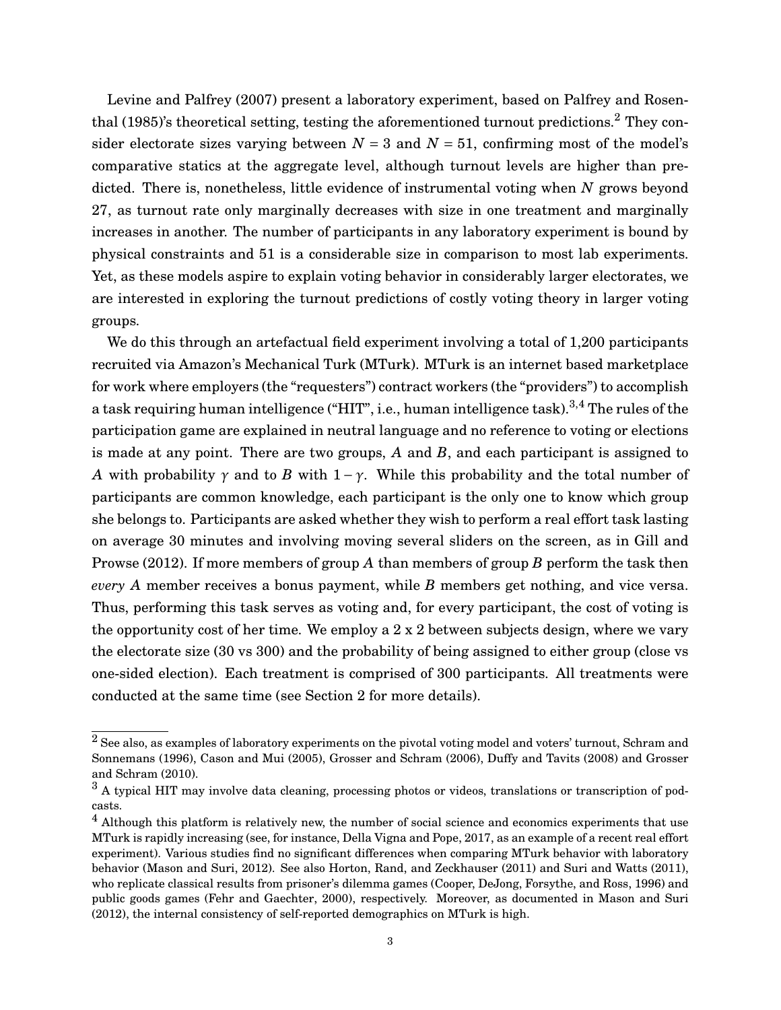[Levine and Palfrey](#page-30-5) [\(2007\)](#page-30-5) present a laboratory experiment, based on [Palfrey and Rosen](#page-31-0)[thal](#page-31-0) [\(1985\)](#page-31-0)'s theoretical setting, testing the aforementioned turnout predictions.<sup>[2](#page-2-0)</sup> They consider electorate sizes varying between  $N = 3$  and  $N = 51$ , confirming most of the model's comparative statics at the aggregate level, although turnout levels are higher than predicted. There is, nonetheless, little evidence of instrumental voting when *N* grows beyond 27, as turnout rate only marginally decreases with size in one treatment and marginally increases in another. The number of participants in any laboratory experiment is bound by physical constraints and 51 is a considerable size in comparison to most lab experiments. Yet, as these models aspire to explain voting behavior in considerably larger electorates, we are interested in exploring the turnout predictions of costly voting theory in larger voting groups.

We do this through an artefactual field experiment involving a total of 1,200 participants recruited via Amazon's Mechanical Turk (MTurk). MTurk is an internet based marketplace for work where employers (the "requesters") contract workers (the "providers") to accomplish a task requiring human intelligence ("HIT", i.e., human intelligence task).<sup>[3,](#page-2-1)[4](#page-2-2)</sup> The rules of the participation game are explained in neutral language and no reference to voting or elections is made at any point. There are two groups, *A* and *B*, and each participant is assigned to *A* with probability  $\gamma$  and to *B* with  $1 - \gamma$ . While this probability and the total number of participants are common knowledge, each participant is the only one to know which group she belongs to. Participants are asked whether they wish to perform a real effort task lasting on average 30 minutes and involving moving several sliders on the screen, as in [Gill and](#page-30-6) [Prowse](#page-30-6) [\(2012\)](#page-30-6). If more members of group *A* than members of group *B* perform the task then *every A* member receives a bonus payment, while *B* members get nothing, and vice versa. Thus, performing this task serves as voting and, for every participant, the cost of voting is the opportunity cost of her time. We employ a  $2 \times 2$  between subjects design, where we vary the electorate size (30 vs 300) and the probability of being assigned to either group (close vs one-sided election). Each treatment is comprised of 300 participants. All treatments were conducted at the same time (see Section 2 for more details).

<span id="page-2-0"></span> $\overline{2}$  See also, as examples of laboratory experiments on the pivotal voting model and voters' turnout, [Schram and](#page-31-4) [Sonnemans](#page-31-4) [\(1996\)](#page-31-4), [Cason and Mui](#page-29-2) [\(2005\)](#page-29-2), [Grosser and Schram](#page-30-7) [\(2006\)](#page-30-7), [Duffy and Tavits](#page-30-8) [\(2008\)](#page-30-8) and [Grosser](#page-30-9) [and Schram](#page-30-9) [\(2010\)](#page-30-9).

<span id="page-2-1"></span> $3$  A typical HIT may involve data cleaning, processing photos or videos, translations or transcription of podcasts.

<span id="page-2-2"></span> $<sup>4</sup>$  Although this platform is relatively new, the number of social science and economics experiments that use</sup> MTurk is rapidly increasing (see, for instance, [Della Vigna and Pope,](#page-30-10) [2017,](#page-30-10) as an example of a recent real effort experiment). Various studies find no significant differences when comparing MTurk behavior with laboratory behavior [\(Mason and Suri,](#page-30-11) [2012\)](#page-30-11). See also [Horton, Rand, and Zeckhauser](#page-30-12) [\(2011\)](#page-30-12) and [Suri and Watts](#page-31-5) [\(2011\)](#page-31-5), who replicate classical results from prisoner's dilemma games [\(Cooper, DeJong, Forsythe, and Ross,](#page-29-3) [1996\)](#page-29-3) and public goods games [\(Fehr and Gaechter,](#page-30-13) [2000\)](#page-30-13), respectively. Moreover, as documented in [Mason and Suri](#page-30-11) [\(2012\)](#page-30-11), the internal consistency of self-reported demographics on MTurk is high.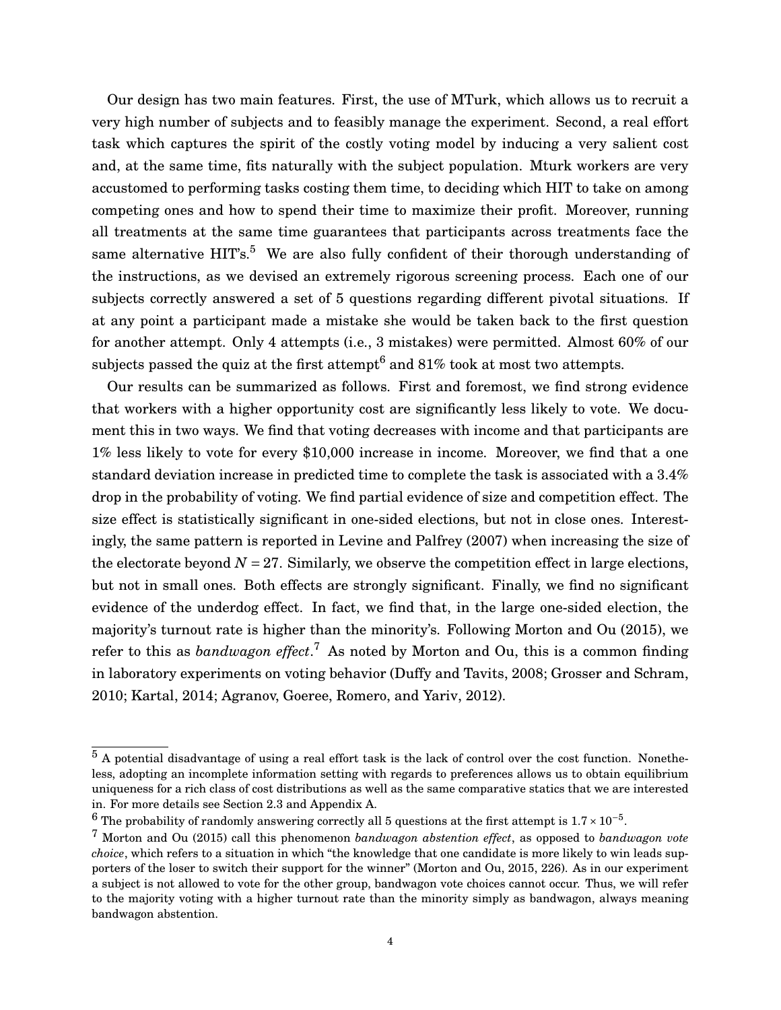Our design has two main features. First, the use of MTurk, which allows us to recruit a very high number of subjects and to feasibly manage the experiment. Second, a real effort task which captures the spirit of the costly voting model by inducing a very salient cost and, at the same time, fits naturally with the subject population. Mturk workers are very accustomed to performing tasks costing them time, to deciding which HIT to take on among competing ones and how to spend their time to maximize their profit. Moreover, running all treatments at the same time guarantees that participants across treatments face the same alternative HIT's.<sup>[5](#page-3-0)</sup> We are also fully confident of their thorough understanding of the instructions, as we devised an extremely rigorous screening process. Each one of our subjects correctly answered a set of 5 questions regarding different pivotal situations. If at any point a participant made a mistake she would be taken back to the first question for another attempt. Only 4 attempts (i.e., 3 mistakes) were permitted. Almost 60% of our subjects passed the quiz at the first attempt $^6$  $^6$  and 81% took at most two attempts.

Our results can be summarized as follows. First and foremost, we find strong evidence that workers with a higher opportunity cost are significantly less likely to vote. We document this in two ways. We find that voting decreases with income and that participants are 1% less likely to vote for every \$10,000 increase in income. Moreover, we find that a one standard deviation increase in predicted time to complete the task is associated with a 3.4% drop in the probability of voting. We find partial evidence of size and competition effect. The size effect is statistically significant in one-sided elections, but not in close ones. Interestingly, the same pattern is reported in [Levine and Palfrey](#page-30-5) [\(2007\)](#page-30-5) when increasing the size of the electorate beyond  $N = 27$ . Similarly, we observe the competition effect in large elections, but not in small ones. Both effects are strongly significant. Finally, we find no significant evidence of the underdog effect. In fact, we find that, in the large one-sided election, the majority's turnout rate is higher than the minority's. Following [Morton and Ou](#page-30-14) [\(2015\)](#page-30-14), we refer to this as *bandwagon effect*. [7](#page-3-2) As noted by Morton and Ou, this is a common finding in laboratory experiments on voting behavior [\(Duffy and Tavits,](#page-30-8) [2008;](#page-30-8) [Grosser and Schram,](#page-30-9) [2010;](#page-30-9) [Kartal,](#page-30-15) [2014;](#page-30-15) [Agranov, Goeree, Romero, and Yariv,](#page-29-4) [2012\)](#page-29-4).

<span id="page-3-0"></span> $\overline{5}$  A potential disadvantage of using a real effort task is the lack of control over the cost function. Nonetheless, adopting an incomplete information setting with regards to preferences allows us to obtain equilibrium uniqueness for a rich class of cost distributions as well as the same comparative statics that we are interested in. For more details see Section [2.3](#page-8-0) and Appendix [A.](#page-21-0)

<span id="page-3-1"></span> $^6$  The probability of randomly answering correctly all 5 questions at the first attempt is 1.7 × 10<sup>-5</sup>.

<span id="page-3-2"></span><sup>7</sup> [Morton and Ou](#page-30-14) [\(2015\)](#page-30-14) call this phenomenon *bandwagon abstention effect*, as opposed to *bandwagon vote choice*, which refers to a situation in which "the knowledge that one candidate is more likely to win leads supporters of the loser to switch their support for the winner" [\(Morton and Ou,](#page-30-14) [2015,](#page-30-14) 226). As in our experiment a subject is not allowed to vote for the other group, bandwagon vote choices cannot occur. Thus, we will refer to the majority voting with a higher turnout rate than the minority simply as bandwagon, always meaning bandwagon abstention.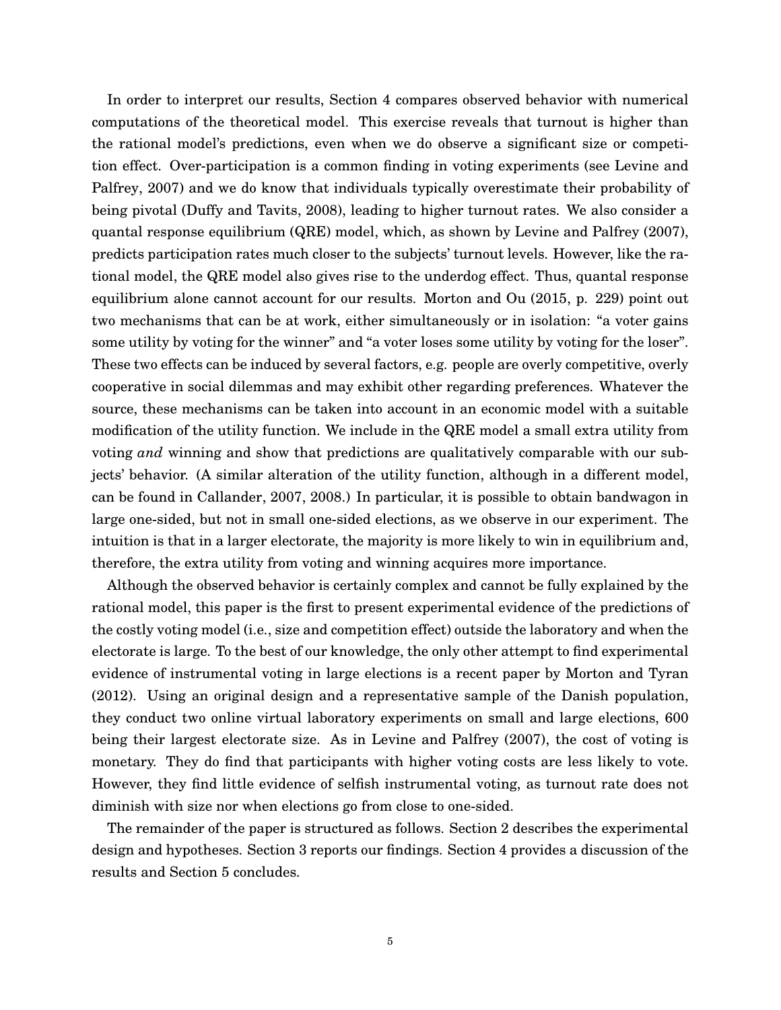In order to interpret our results, Section [4](#page-14-0) compares observed behavior with numerical computations of the theoretical model. This exercise reveals that turnout is higher than the rational model's predictions, even when we do observe a significant size or competition effect. Over-participation is a common finding in voting experiments (see [Levine and](#page-30-5) [Palfrey,](#page-30-5) [2007\)](#page-30-5) and we do know that individuals typically overestimate their probability of being pivotal [\(Duffy and Tavits,](#page-30-8) [2008\)](#page-30-8), leading to higher turnout rates. We also consider a quantal response equilibrium (QRE) model, which, as shown by [Levine and Palfrey](#page-30-5) [\(2007\)](#page-30-5), predicts participation rates much closer to the subjects' turnout levels. However, like the rational model, the QRE model also gives rise to the underdog effect. Thus, quantal response equilibrium alone cannot account for our results. [Morton and Ou](#page-30-14) [\(2015,](#page-30-14) p. 229) point out two mechanisms that can be at work, either simultaneously or in isolation: "a voter gains some utility by voting for the winner" and "a voter loses some utility by voting for the loser". These two effects can be induced by several factors, e.g. people are overly competitive, overly cooperative in social dilemmas and may exhibit other regarding preferences. Whatever the source, these mechanisms can be taken into account in an economic model with a suitable modification of the utility function. We include in the QRE model a small extra utility from voting *and* winning and show that predictions are qualitatively comparable with our subjects' behavior. (A similar alteration of the utility function, although in a different model, can be found in [Callander,](#page-29-5) [2007,](#page-29-5) [2008.](#page-29-6)) In particular, it is possible to obtain bandwagon in large one-sided, but not in small one-sided elections, as we observe in our experiment. The intuition is that in a larger electorate, the majority is more likely to win in equilibrium and, therefore, the extra utility from voting and winning acquires more importance.

Although the observed behavior is certainly complex and cannot be fully explained by the rational model, this paper is the first to present experimental evidence of the predictions of the costly voting model (i.e., size and competition effect) outside the laboratory and when the electorate is large. To the best of our knowledge, the only other attempt to find experimental evidence of instrumental voting in large elections is a recent paper by [Morton and Tyran](#page-30-16) [\(2012\)](#page-30-16). Using an original design and a representative sample of the Danish population, they conduct two online virtual laboratory experiments on small and large elections, 600 being their largest electorate size. As in [Levine and Palfrey](#page-30-5) [\(2007\)](#page-30-5), the cost of voting is monetary. They do find that participants with higher voting costs are less likely to vote. However, they find little evidence of selfish instrumental voting, as turnout rate does not diminish with size nor when elections go from close to one-sided.

The remainder of the paper is structured as follows. Section [2](#page-5-0) describes the experimental design and hypotheses. Section 3 reports our findings. Section 4 provides a discussion of the results and Section 5 concludes.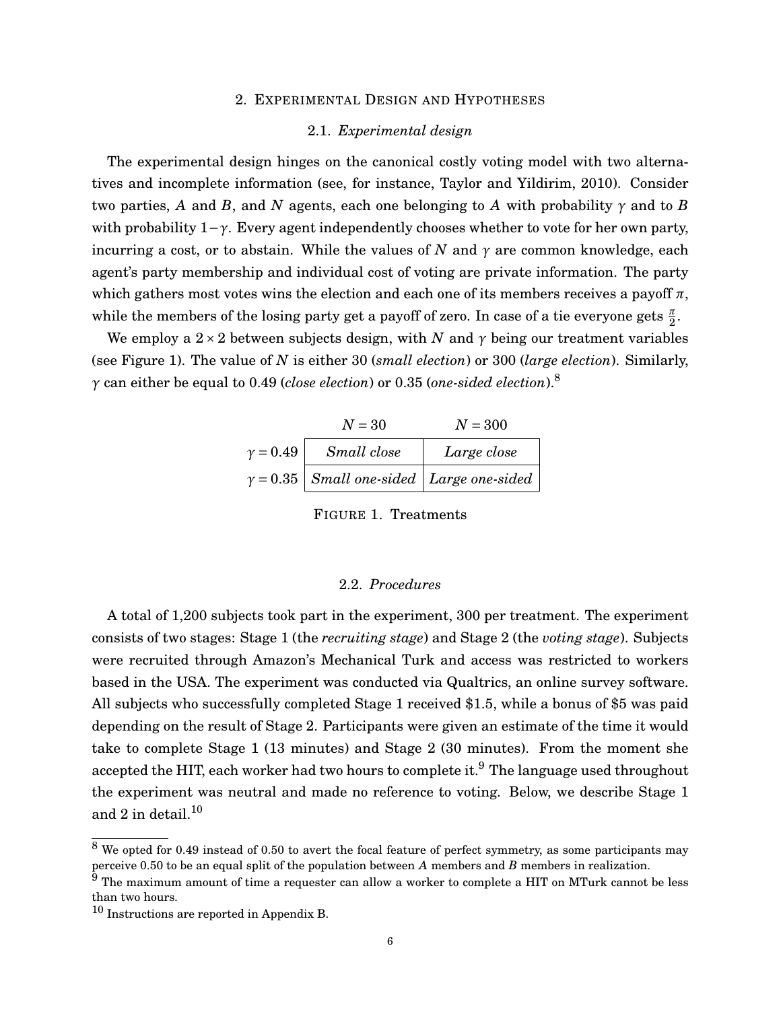# 2. EXPERIMENTAL DESIGN AND HYPOTHESES

## 2.1. *Experimental design*

<span id="page-5-5"></span><span id="page-5-0"></span>The experimental design hinges on the canonical costly voting model with two alternatives and incomplete information (see, for instance, [Taylor and Yildirim,](#page-31-6) [2010\)](#page-31-6). Consider two parties, *A* and *B*, and *N* agents, each one belonging to *A* with probability *γ* and to *B* with probability 1−*γ*. Every agent independently chooses whether to vote for her own party, incurring a cost, or to abstain. While the values of *N* and  $\gamma$  are common knowledge, each agent's party membership and individual cost of voting are private information. The party which gathers most votes wins the election and each one of its members receives a payoff *π*, while the members of the losing party get a payoff of zero. In case of a tie everyone gets  $\frac{\pi}{2}$ .

<span id="page-5-1"></span>We employ a  $2 \times 2$  between subjects design, with *N* and  $\gamma$  being our treatment variables (see Figure [1\)](#page-5-1). The value of *N* is either 30 (*small election*) or 300 (*large election*). Similarly, *γ* can either be equal to 0.49 (*close election*) or 0.35 (*one-sided election*).[8](#page-5-2)

|                 | $N = 30$                                        | $N = 300$   |
|-----------------|-------------------------------------------------|-------------|
| $\gamma = 0.49$ | Small close                                     | Large close |
|                 | $\gamma = 0.35$ Small one-sided Large one-sided |             |

FIGURE 1. Treatments

#### 2.2. *Procedures*

A total of 1,200 subjects took part in the experiment, 300 per treatment. The experiment consists of two stages: Stage 1 (the *recruiting stage*) and Stage 2 (the *voting stage*). Subjects were recruited through Amazon's Mechanical Turk and access was restricted to workers based in the USA. The experiment was conducted via Qualtrics, an online survey software. All subjects who successfully completed Stage 1 received \$1.5, while a bonus of \$5 was paid depending on the result of Stage 2. Participants were given an estimate of the time it would take to complete Stage 1 (13 minutes) and Stage 2 (30 minutes). From the moment she accepted the HIT, each worker had two hours to complete it.<sup>[9](#page-5-3)</sup> The language used throughout the experiment was neutral and made no reference to voting. Below, we describe Stage 1 and 2 in detail. $10$ 

<span id="page-5-2"></span><sup>&</sup>lt;sup>8</sup> We opted for 0.49 instead of 0.50 to avert the focal feature of perfect symmetry, as some participants may perceive 0.50 to be an equal split of the population between *A* members and *B* members in realization.

<span id="page-5-3"></span> $9$  The maximum amount of time a requester can allow a worker to complete a HIT on MTurk cannot be less than two hours.

<span id="page-5-4"></span> $10$  Instructions are reported in Appendix [B.](#page-25-0)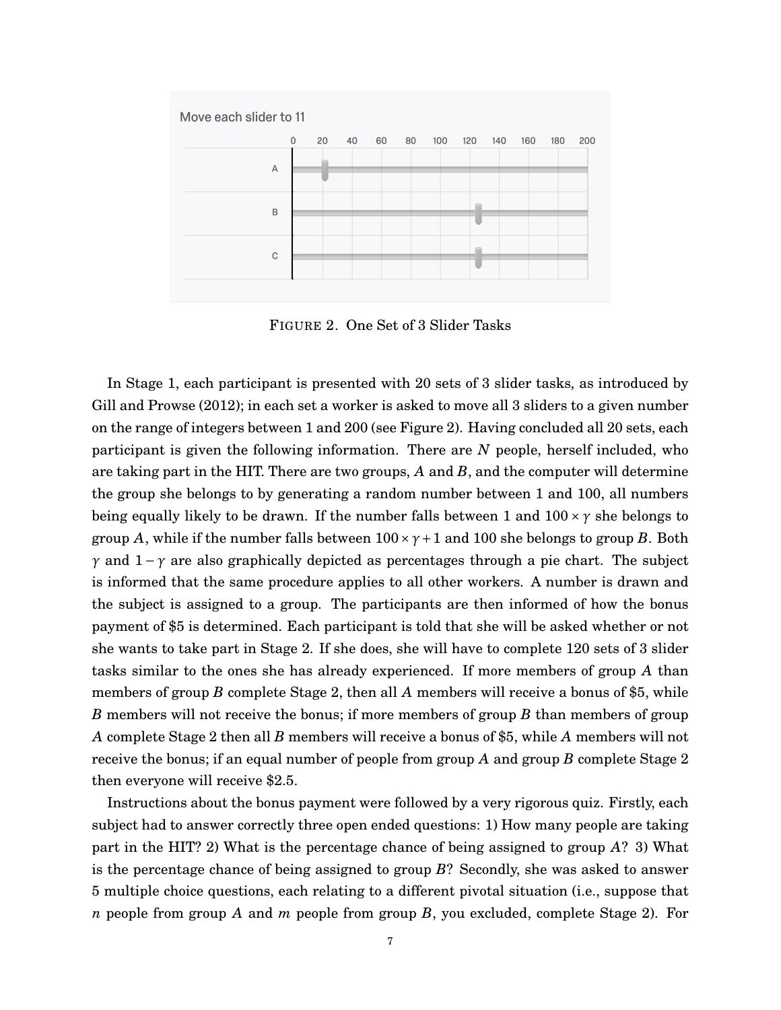<span id="page-6-0"></span>

FIGURE 2. One Set of 3 Slider Tasks

In Stage 1, each participant is presented with 20 sets of 3 slider tasks, as introduced by [Gill and Prowse](#page-30-6) [\(2012\)](#page-30-6); in each set a worker is asked to move all 3 sliders to a given number on the range of integers between 1 and 200 (see Figure [2\)](#page-6-0). Having concluded all 20 sets, each participant is given the following information. There are *N* people, herself included, who are taking part in the HIT. There are two groups, *A* and *B*, and the computer will determine the group she belongs to by generating a random number between 1 and 100, all numbers being equally likely to be drawn. If the number falls between 1 and  $100 \times \gamma$  she belongs to group *A*, while if the number falls between  $100 \times \gamma + 1$  and 100 she belongs to group *B*. Both *γ* and  $1 - \gamma$  are also graphically depicted as percentages through a pie chart. The subject is informed that the same procedure applies to all other workers. A number is drawn and the subject is assigned to a group. The participants are then informed of how the bonus payment of \$5 is determined. Each participant is told that she will be asked whether or not she wants to take part in Stage 2. If she does, she will have to complete 120 sets of 3 slider tasks similar to the ones she has already experienced. If more members of group *A* than members of group *B* complete Stage 2, then all *A* members will receive a bonus of \$5, while *B* members will not receive the bonus; if more members of group *B* than members of group *A* complete Stage 2 then all *B* members will receive a bonus of \$5, while *A* members will not receive the bonus; if an equal number of people from group *A* and group *B* complete Stage 2 then everyone will receive \$2.5.

Instructions about the bonus payment were followed by a very rigorous quiz. Firstly, each subject had to answer correctly three open ended questions: 1) How many people are taking part in the HIT? 2) What is the percentage chance of being assigned to group *A*? 3) What is the percentage chance of being assigned to group *B*? Secondly, she was asked to answer 5 multiple choice questions, each relating to a different pivotal situation (i.e., suppose that *n* people from group *A* and *m* people from group *B*, you excluded, complete Stage 2). For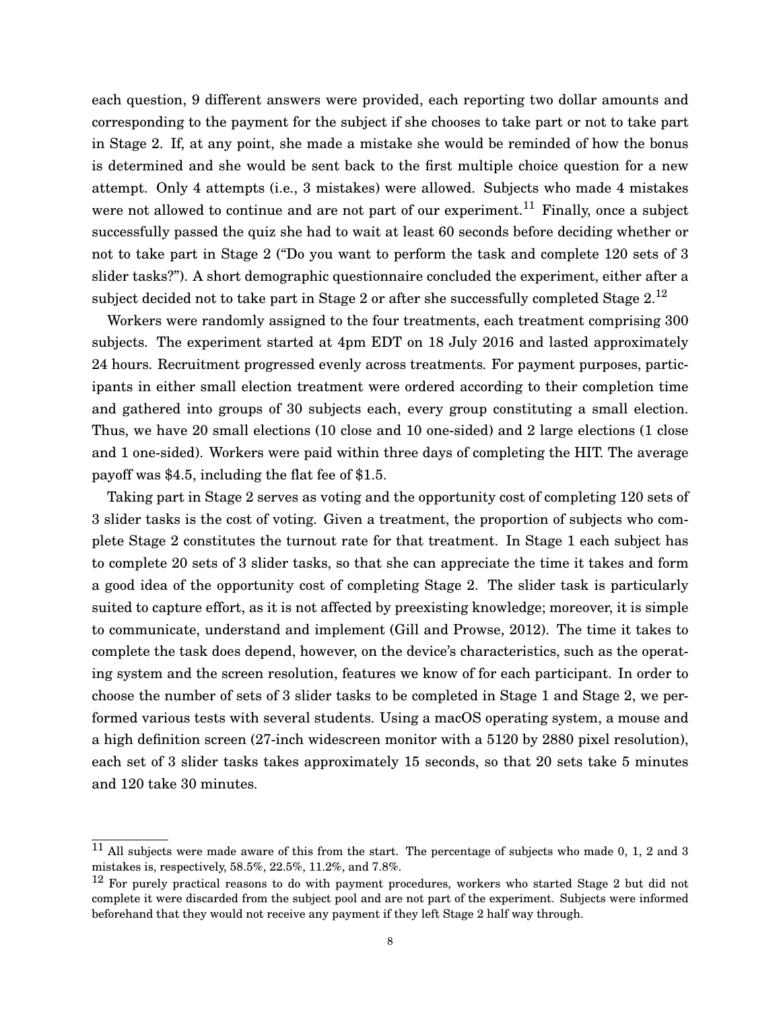each question, 9 different answers were provided, each reporting two dollar amounts and corresponding to the payment for the subject if she chooses to take part or not to take part in Stage 2. If, at any point, she made a mistake she would be reminded of how the bonus is determined and she would be sent back to the first multiple choice question for a new attempt. Only 4 attempts (i.e., 3 mistakes) were allowed. Subjects who made 4 mistakes were not allowed to continue and are not part of our experiment.<sup>[11](#page-7-0)</sup> Finally, once a subject successfully passed the quiz she had to wait at least 60 seconds before deciding whether or not to take part in Stage 2 ("Do you want to perform the task and complete 120 sets of 3 slider tasks?"). A short demographic questionnaire concluded the experiment, either after a subject decided not to take part in Stage 2 or after she successfully completed Stage  $2^{12}$  $2^{12}$  $2^{12}$ 

Workers were randomly assigned to the four treatments, each treatment comprising 300 subjects. The experiment started at 4pm EDT on 18 July 2016 and lasted approximately 24 hours. Recruitment progressed evenly across treatments. For payment purposes, participants in either small election treatment were ordered according to their completion time and gathered into groups of 30 subjects each, every group constituting a small election. Thus, we have 20 small elections (10 close and 10 one-sided) and 2 large elections (1 close and 1 one-sided). Workers were paid within three days of completing the HIT. The average payoff was \$4.5, including the flat fee of \$1.5.

Taking part in Stage 2 serves as voting and the opportunity cost of completing 120 sets of 3 slider tasks is the cost of voting. Given a treatment, the proportion of subjects who complete Stage 2 constitutes the turnout rate for that treatment. In Stage 1 each subject has to complete 20 sets of 3 slider tasks, so that she can appreciate the time it takes and form a good idea of the opportunity cost of completing Stage 2. The slider task is particularly suited to capture effort, as it is not affected by preexisting knowledge; moreover, it is simple to communicate, understand and implement [\(Gill and Prowse,](#page-30-6) [2012\)](#page-30-6). The time it takes to complete the task does depend, however, on the device's characteristics, such as the operating system and the screen resolution, features we know of for each participant. In order to choose the number of sets of 3 slider tasks to be completed in Stage 1 and Stage 2, we performed various tests with several students. Using a macOS operating system, a mouse and a high definition screen (27-inch widescreen monitor with a 5120 by 2880 pixel resolution), each set of 3 slider tasks takes approximately 15 seconds, so that 20 sets take 5 minutes and 120 take 30 minutes.

<span id="page-7-0"></span> $11$  All subjects were made aware of this from the start. The percentage of subjects who made 0, 1, 2 and 3 mistakes is, respectively, 58.5%, 22.5%, 11.2%, and 7.8%.

<span id="page-7-1"></span> $12$  For purely practical reasons to do with payment procedures, workers who started Stage 2 but did not complete it were discarded from the subject pool and are not part of the experiment. Subjects were informed beforehand that they would not receive any payment if they left Stage 2 half way through.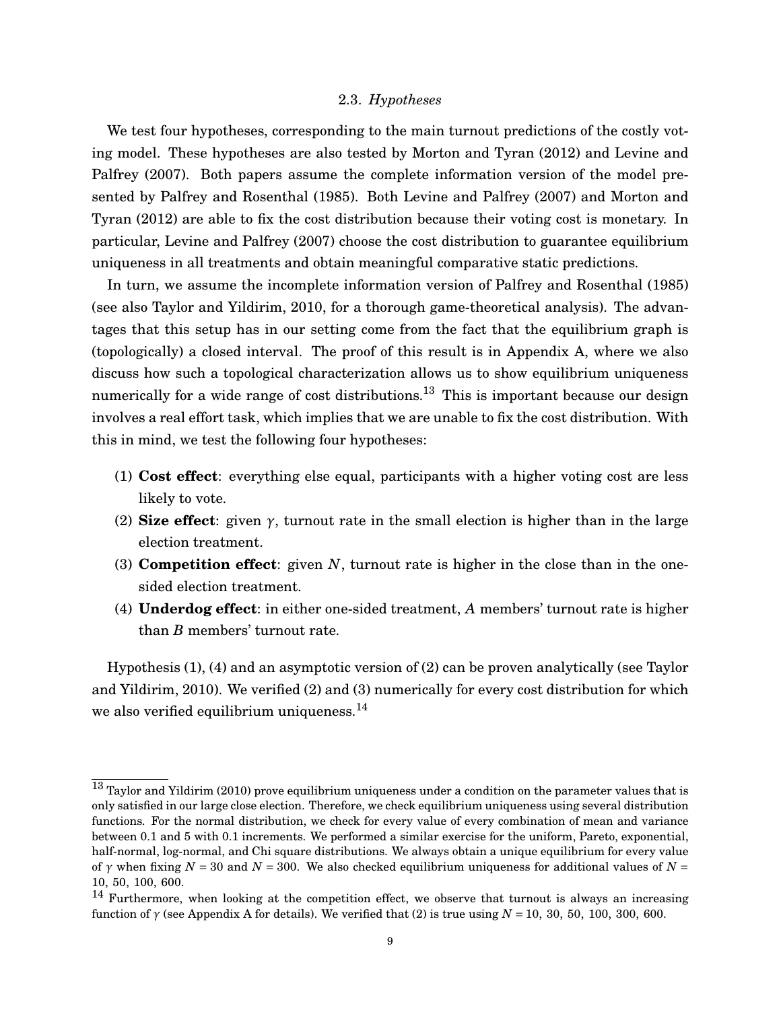# 2.3. *Hypotheses*

<span id="page-8-0"></span>We test four hypotheses, corresponding to the main turnout predictions of the costly voting model. These hypotheses are also tested by [Morton and Tyran](#page-30-16) [\(2012\)](#page-30-16) and [Levine and](#page-30-5) [Palfrey](#page-30-5) [\(2007\)](#page-30-5). Both papers assume the complete information version of the model presented by [Palfrey and Rosenthal](#page-31-0) [\(1985\)](#page-31-0). Both [Levine and Palfrey](#page-30-5) [\(2007\)](#page-30-5) and [Morton and](#page-30-16) [Tyran](#page-30-16) [\(2012\)](#page-30-16) are able to fix the cost distribution because their voting cost is monetary. In particular, [Levine and Palfrey](#page-30-5) [\(2007\)](#page-30-5) choose the cost distribution to guarantee equilibrium uniqueness in all treatments and obtain meaningful comparative static predictions.

In turn, we assume the incomplete information version of [Palfrey and Rosenthal](#page-31-0) [\(1985\)](#page-31-0) (see also [Taylor and Yildirim,](#page-31-6) [2010,](#page-31-6) for a thorough game-theoretical analysis). The advantages that this setup has in our setting come from the fact that the equilibrium graph is (topologically) a closed interval. The proof of this result is in Appendix [A,](#page-21-0) where we also discuss how such a topological characterization allows us to show equilibrium uniqueness numerically for a wide range of cost distributions.<sup>[13](#page-8-1)</sup> This is important because our design involves a real effort task, which implies that we are unable to fix the cost distribution. With this in mind, we test the following four hypotheses:

- (1) **Cost effect**: everything else equal, participants with a higher voting cost are less likely to vote.
- (2) **Size effect**: given  $\gamma$ , turnout rate in the small election is higher than in the large election treatment.
- (3) **Competition effect**: given *N*, turnout rate is higher in the close than in the onesided election treatment.
- (4) **Underdog effect**: in either one-sided treatment, *A* members' turnout rate is higher than *B* members' turnout rate.

Hypothesis (1), (4) and an asymptotic version of (2) can be proven analytically (see [Taylor](#page-31-6) [and Yildirim,](#page-31-6) [2010\)](#page-31-6). We verified (2) and (3) numerically for every cost distribution for which we also verified equilibrium uniqueness.<sup>[14](#page-8-2)</sup>

<span id="page-8-1"></span> $13$  [Taylor and Yildirim](#page-31-6) [\(2010\)](#page-31-6) prove equilibrium uniqueness under a condition on the parameter values that is only satisfied in our large close election. Therefore, we check equilibrium uniqueness using several distribution functions. For the normal distribution, we check for every value of every combination of mean and variance between 0.1 and 5 with 0.1 increments. We performed a similar exercise for the uniform, Pareto, exponential, half-normal, log-normal, and Chi square distributions. We always obtain a unique equilibrium for every value of  $\gamma$  when fixing  $N = 30$  and  $N = 300$ . We also checked equilibrium uniqueness for additional values of  $N =$ 10, 50, 100, 600.

<span id="page-8-2"></span> $14$  Furthermore, when looking at the competition effect, we observe that turnout is always an increasing function of  $\gamma$  (see [A](#page-21-0)ppendix A for details). We verified that (2) is true using  $N = 10, 30, 50, 100, 300, 600$ .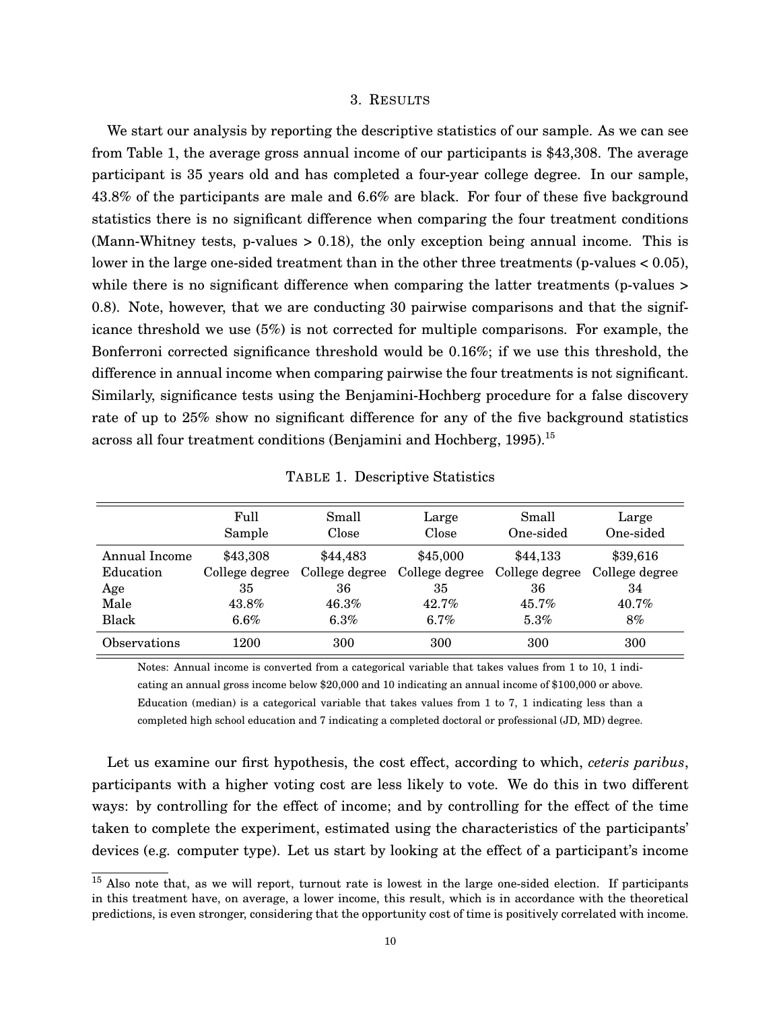#### 3. RESULTS

<span id="page-9-2"></span>We start our analysis by reporting the descriptive statistics of our sample. As we can see from Table [1,](#page-9-0) the average gross annual income of our participants is \$43,308. The average participant is 35 years old and has completed a four-year college degree. In our sample, 43.8% of the participants are male and 6.6% are black. For four of these five background statistics there is no significant difference when comparing the four treatment conditions (Mann-Whitney tests, p-values  $> 0.18$ ), the only exception being annual income. This is lower in the large one-sided treatment than in the other three treatments (p-values < 0.05), while there is no significant difference when comparing the latter treatments (p-values > 0.8). Note, however, that we are conducting 30 pairwise comparisons and that the significance threshold we use (5%) is not corrected for multiple comparisons. For example, the Bonferroni corrected significance threshold would be 0.16%; if we use this threshold, the difference in annual income when comparing pairwise the four treatments is not significant. Similarly, significance tests using the Benjamini-Hochberg procedure for a false discovery rate of up to 25% show no significant difference for any of the five background statistics across all four treatment conditions [\(Benjamini and Hochberg,](#page-29-7) [1995\)](#page-29-7).<sup>[15](#page-9-1)</sup>

<span id="page-9-0"></span>

|               | Full<br>Sample | Small<br>Close | Large<br>Close | Small<br>One-sided | Large<br>One-sided |
|---------------|----------------|----------------|----------------|--------------------|--------------------|
| Annual Income | \$43,308       | \$44,483       | \$45,000       | \$44,133           | \$39,616           |
| Education     | College degree | College degree | College degree | College degree     | College degree     |
| Age           | 35             | 36             | 35             | 36                 | 34                 |
| Male          | 43.8%          | 46.3%          | $42.7\%$       | $45.7\%$           | $40.7\%$           |
| Black         | 6.6%           | $6.3\%$        | 6.7%           | 5.3%               | 8%                 |
| Observations  | 1200           | 300            | 300            | 300                | 300                |

TABLE 1. Descriptive Statistics

Notes: Annual income is converted from a categorical variable that takes values from 1 to 10, 1 indicating an annual gross income below \$20,000 and 10 indicating an annual income of \$100,000 or above. Education (median) is a categorical variable that takes values from 1 to 7, 1 indicating less than a completed high school education and 7 indicating a completed doctoral or professional (JD, MD) degree.

Let us examine our first hypothesis, the cost effect, according to which, *ceteris paribus*, participants with a higher voting cost are less likely to vote. We do this in two different ways: by controlling for the effect of income; and by controlling for the effect of the time taken to complete the experiment, estimated using the characteristics of the participants' devices (e.g. computer type). Let us start by looking at the effect of a participant's income

<span id="page-9-1"></span><sup>&</sup>lt;sup>15</sup> Also note that, as we will report, turnout rate is lowest in the large one-sided election. If participants in this treatment have, on average, a lower income, this result, which is in accordance with the theoretical predictions, is even stronger, considering that the opportunity cost of time is positively correlated with income.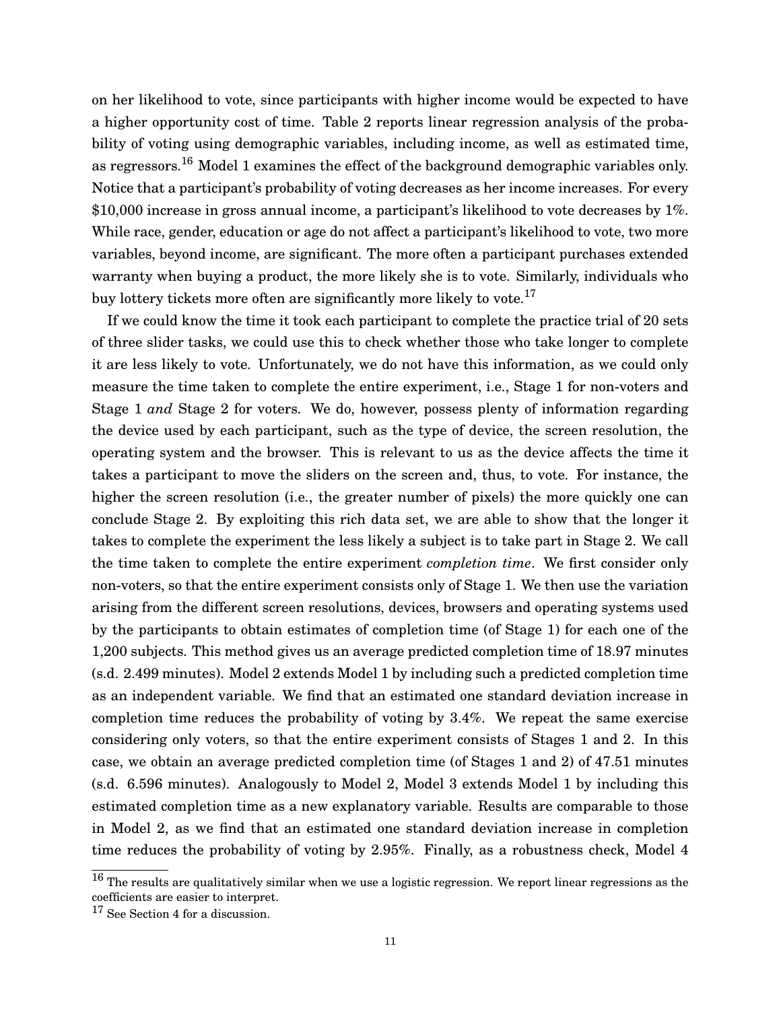on her likelihood to vote, since participants with higher income would be expected to have a higher opportunity cost of time. Table [2](#page-12-0) reports linear regression analysis of the probability of voting using demographic variables, including income, as well as estimated time, as regressors.<sup>[16](#page-10-0)</sup> Model 1 examines the effect of the background demographic variables only. Notice that a participant's probability of voting decreases as her income increases. For every \$10,000 increase in gross annual income, a participant's likelihood to vote decreases by 1%. While race, gender, education or age do not affect a participant's likelihood to vote, two more variables, beyond income, are significant. The more often a participant purchases extended warranty when buying a product, the more likely she is to vote. Similarly, individuals who buy lottery tickets more often are significantly more likely to vote.<sup>[17](#page-10-1)</sup>

If we could know the time it took each participant to complete the practice trial of 20 sets of three slider tasks, we could use this to check whether those who take longer to complete it are less likely to vote. Unfortunately, we do not have this information, as we could only measure the time taken to complete the entire experiment, i.e., Stage 1 for non-voters and Stage 1 *and* Stage 2 for voters. We do, however, possess plenty of information regarding the device used by each participant, such as the type of device, the screen resolution, the operating system and the browser. This is relevant to us as the device affects the time it takes a participant to move the sliders on the screen and, thus, to vote. For instance, the higher the screen resolution (i.e., the greater number of pixels) the more quickly one can conclude Stage 2. By exploiting this rich data set, we are able to show that the longer it takes to complete the experiment the less likely a subject is to take part in Stage 2. We call the time taken to complete the entire experiment *completion time*. We first consider only non-voters, so that the entire experiment consists only of Stage 1. We then use the variation arising from the different screen resolutions, devices, browsers and operating systems used by the participants to obtain estimates of completion time (of Stage 1) for each one of the 1,200 subjects. This method gives us an average predicted completion time of 18.97 minutes (s.d. 2.499 minutes). Model 2 extends Model 1 by including such a predicted completion time as an independent variable. We find that an estimated one standard deviation increase in completion time reduces the probability of voting by 3.4%. We repeat the same exercise considering only voters, so that the entire experiment consists of Stages 1 and 2. In this case, we obtain an average predicted completion time (of Stages 1 and 2) of 47.51 minutes (s.d. 6.596 minutes). Analogously to Model 2, Model 3 extends Model 1 by including this estimated completion time as a new explanatory variable. Results are comparable to those in Model 2, as we find that an estimated one standard deviation increase in completion time reduces the probability of voting by 2.95%. Finally, as a robustness check, Model 4

<span id="page-10-0"></span> $16$  The results are qualitatively similar when we use a logistic regression. We report linear regressions as the coefficients are easier to interpret.

<span id="page-10-1"></span><sup>17</sup> See Section [4](#page-14-0) for a discussion.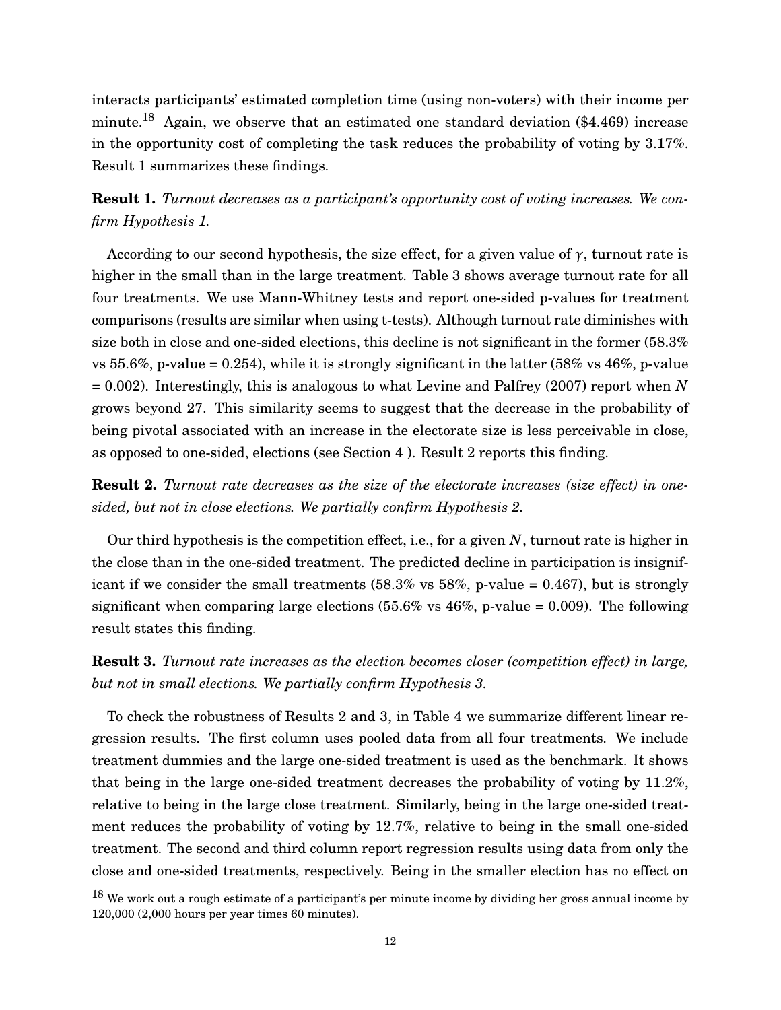interacts participants' estimated completion time (using non-voters) with their income per minute.<sup>[18](#page-11-0)</sup> Again, we observe that an estimated one standard deviation (\$4.469) increase in the opportunity cost of completing the task reduces the probability of voting by 3.17%. Result 1 summarizes these findings.

**Result 1.** *Turnout decreases as a participant's opportunity cost of voting increases. We confirm Hypothesis 1.*

According to our second hypothesis, the size effect, for a given value of  $\gamma$ , turnout rate is higher in the small than in the large treatment. Table [3](#page-12-1) shows average turnout rate for all four treatments. We use Mann-Whitney tests and report one-sided p-values for treatment comparisons (results are similar when using t-tests). Although turnout rate diminishes with size both in close and one-sided elections, this decline is not significant in the former (58.3% vs 55.6%, p-value = 0.254), while it is strongly significant in the latter (58% vs 46%, p-value = 0.002). Interestingly, this is analogous to what [Levine and Palfrey](#page-30-5) [\(2007\)](#page-30-5) report when *N* grows beyond 27. This similarity seems to suggest that the decrease in the probability of being pivotal associated with an increase in the electorate size is less perceivable in close, as opposed to one-sided, elections (see Section [4](#page-14-0) ). Result 2 reports this finding.

**Result 2.** *Turnout rate decreases as the size of the electorate increases (size effect) in onesided, but not in close elections. We partially confirm Hypothesis 2.*

Our third hypothesis is the competition effect, i.e., for a given *N*, turnout rate is higher in the close than in the one-sided treatment. The predicted decline in participation is insignificant if we consider the small treatments  $(58.3\% \text{ vs } 58\%, \text{ p-value } = 0.467)$ , but is strongly significant when comparing large elections  $(55.6\% \text{ vs } 46\%)$ , p-value = 0.009). The following result states this finding.

**Result 3.** *Turnout rate increases as the election becomes closer (competition effect) in large, but not in small elections. We partially confirm Hypothesis 3.*

To check the robustness of Results 2 and 3, in Table [4](#page-13-0) we summarize different linear regression results. The first column uses pooled data from all four treatments. We include treatment dummies and the large one-sided treatment is used as the benchmark. It shows that being in the large one-sided treatment decreases the probability of voting by 11.2%, relative to being in the large close treatment. Similarly, being in the large one-sided treatment reduces the probability of voting by 12.7%, relative to being in the small one-sided treatment. The second and third column report regression results using data from only the close and one-sided treatments, respectively. Being in the smaller election has no effect on

<span id="page-11-0"></span><sup>&</sup>lt;sup>18</sup> We work out a rough estimate of a participant's per minute income by dividing her gross annual income by 120,000 (2,000 hours per year times 60 minutes).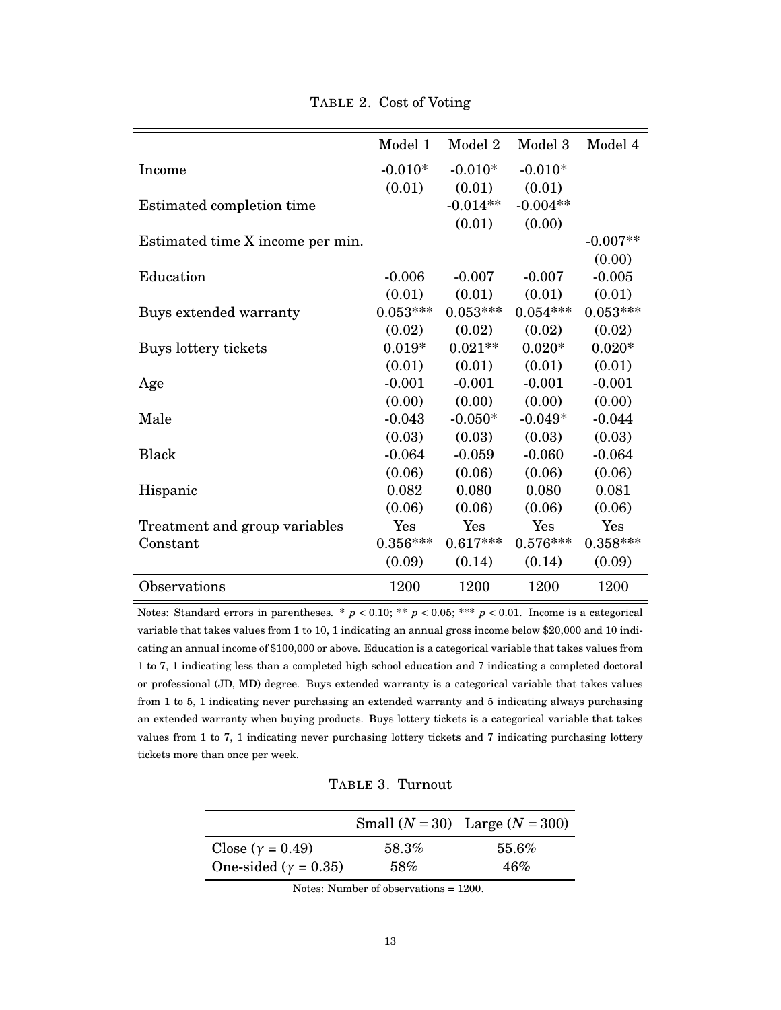<span id="page-12-0"></span>

|                                  | Model 1    | Model 2    | Model 3    | Model 4    |
|----------------------------------|------------|------------|------------|------------|
| Income                           | $-0.010*$  | $-0.010*$  | $-0.010*$  |            |
|                                  | (0.01)     | (0.01)     | (0.01)     |            |
| Estimated completion time        |            | $-0.014**$ | $-0.004**$ |            |
|                                  |            | (0.01)     | (0.00)     |            |
| Estimated time X income per min. |            |            |            | $-0.007**$ |
|                                  |            |            |            | (0.00)     |
| Education                        | $-0.006$   | $-0.007$   | $-0.007$   | $-0.005$   |
|                                  | (0.01)     | (0.01)     | (0.01)     | (0.01)     |
| Buys extended warranty           | $0.053***$ | $0.053***$ | $0.054***$ | $0.053***$ |
|                                  | (0.02)     | (0.02)     | (0.02)     | (0.02)     |
| Buys lottery tickets             | $0.019*$   | $0.021**$  | $0.020*$   | $0.020*$   |
|                                  | (0.01)     | (0.01)     | (0.01)     | (0.01)     |
| Age                              | $-0.001$   | $-0.001$   | $-0.001$   | $-0.001$   |
|                                  | (0.00)     | (0.00)     | (0.00)     | (0.00)     |
| Male                             | $-0.043$   | $-0.050*$  | $-0.049*$  | $-0.044$   |
|                                  | (0.03)     | (0.03)     | (0.03)     | (0.03)     |
| <b>Black</b>                     | $-0.064$   | $-0.059$   | $-0.060$   | $-0.064$   |
|                                  | (0.06)     | (0.06)     | (0.06)     | (0.06)     |
| Hispanic                         | 0.082      | 0.080      | 0.080      | 0.081      |
|                                  | (0.06)     | (0.06)     | (0.06)     | (0.06)     |
| Treatment and group variables    | Yes        | Yes        | Yes        | Yes        |
| Constant                         | $0.356***$ | $0.617***$ | $0.576***$ | $0.358***$ |
|                                  | (0.09)     | (0.14)     | (0.14)     | (0.09)     |
| Observations                     | 1200       | 1200       | 1200       | 1200       |

TABLE 2. Cost of Voting

Notes: Standard errors in parentheses. \*  $p < 0.10$ ; \*\*  $p < 0.05$ ; \*\*\*  $p < 0.01$ . Income is a categorical variable that takes values from 1 to 10, 1 indicating an annual gross income below \$20,000 and 10 indicating an annual income of \$100,000 or above. Education is a categorical variable that takes values from 1 to 7, 1 indicating less than a completed high school education and 7 indicating a completed doctoral or professional (JD, MD) degree. Buys extended warranty is a categorical variable that takes values from 1 to 5, 1 indicating never purchasing an extended warranty and 5 indicating always purchasing an extended warranty when buying products. Buys lottery tickets is a categorical variable that takes values from 1 to 7, 1 indicating never purchasing lottery tickets and 7 indicating purchasing lottery tickets more than once per week.

# TABLE 3. Turnout

<span id="page-12-1"></span>

|                               |       | Small $(N = 30)$ Large $(N = 300)$ |
|-------------------------------|-------|------------------------------------|
| Close ( $\gamma$ = 0.49)      | 58.3% | 55.6%                              |
| One-sided ( $\gamma = 0.35$ ) | 58%   | 46%                                |

Notes: Number of observations = 1200.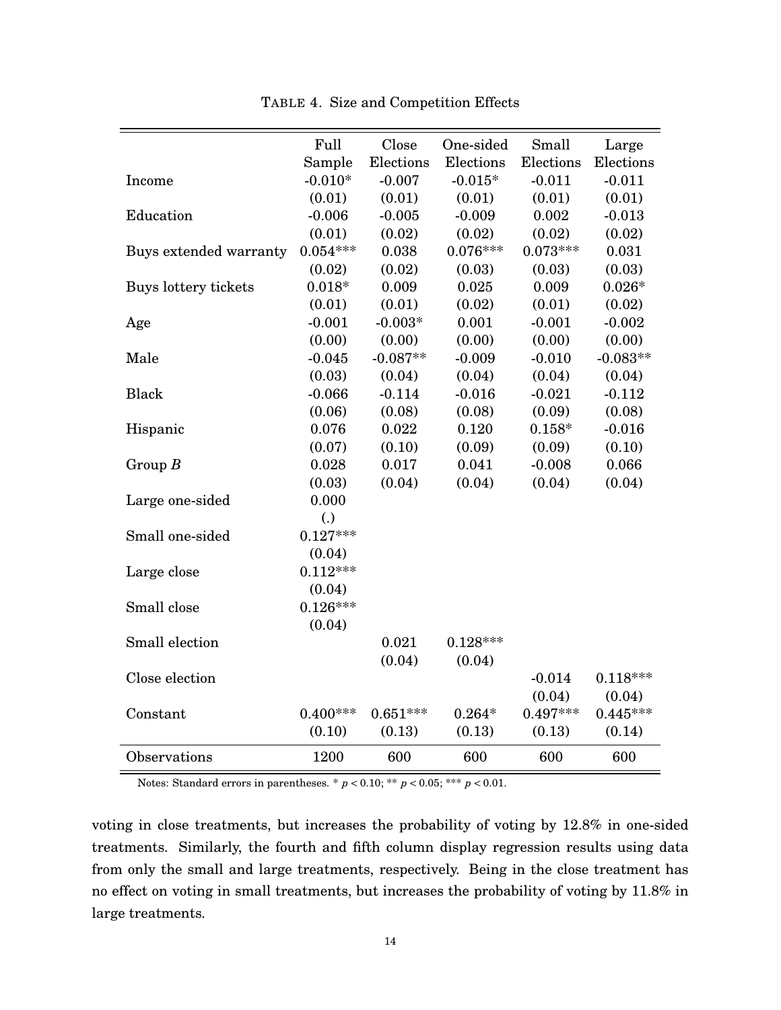<span id="page-13-0"></span>

|                        | Full       | Close      | One-sided  | Small      | Large      |
|------------------------|------------|------------|------------|------------|------------|
|                        | Sample     | Elections  | Elections  | Elections  | Elections  |
| Income                 | $-0.010*$  | $-0.007$   | $-0.015*$  | $-0.011$   | $-0.011$   |
|                        | (0.01)     | (0.01)     | (0.01)     | (0.01)     | (0.01)     |
| Education              | $-0.006$   | $-0.005$   | $-0.009$   | 0.002      | $-0.013$   |
|                        | (0.01)     | (0.02)     | (0.02)     | (0.02)     | (0.02)     |
| Buys extended warranty | $0.054***$ | 0.038      | $0.076***$ | $0.073***$ | 0.031      |
|                        | (0.02)     | (0.02)     | (0.03)     | (0.03)     | (0.03)     |
| Buys lottery tickets   | $0.018*$   | 0.009      | 0.025      | 0.009      | $0.026*$   |
|                        | (0.01)     | (0.01)     | (0.02)     | (0.01)     | (0.02)     |
| Age                    | $-0.001$   | $-0.003*$  | 0.001      | $-0.001$   | $-0.002$   |
|                        | (0.00)     | (0.00)     | (0.00)     | (0.00)     | (0.00)     |
| Male                   | $-0.045$   | $-0.087**$ | $-0.009$   | $-0.010$   | $-0.083**$ |
|                        | (0.03)     | (0.04)     | (0.04)     | (0.04)     | (0.04)     |
| <b>Black</b>           | $-0.066$   | $-0.114$   | $-0.016$   | $-0.021$   | $-0.112$   |
|                        | (0.06)     | (0.08)     | (0.08)     | (0.09)     | (0.08)     |
| Hispanic               | 0.076      | 0.022      | 0.120      | $0.158*$   | $-0.016$   |
|                        | (0.07)     | (0.10)     | (0.09)     | (0.09)     | (0.10)     |
| Group $B$              | 0.028      | 0.017      | 0.041      | $-0.008$   | 0.066      |
|                        | (0.03)     | (0.04)     | (0.04)     | (0.04)     | (0.04)     |
| Large one-sided        | 0.000      |            |            |            |            |
|                        | (.)        |            |            |            |            |
| Small one-sided        | $0.127***$ |            |            |            |            |
|                        | (0.04)     |            |            |            |            |
| Large close            | $0.112***$ |            |            |            |            |
|                        | (0.04)     |            |            |            |            |
| Small close            | $0.126***$ |            |            |            |            |
|                        | (0.04)     |            |            |            |            |
| Small election         |            | 0.021      | $0.128***$ |            |            |
|                        |            | (0.04)     | (0.04)     |            |            |
| Close election         |            |            |            | $-0.014$   | $0.118***$ |
|                        |            |            |            | (0.04)     | (0.04)     |
| Constant               | $0.400***$ | $0.651***$ | $0.264*$   | $0.497***$ | $0.445***$ |
|                        | (0.10)     | (0.13)     | (0.13)     | (0.13)     | (0.14)     |
| Observations           | 1200       | 600        | 600        | 600        | 600        |

TABLE 4. Size and Competition Effects

Notes: Standard errors in parentheses. \* *p* < 0.10; \*\* *p* < 0.05; \*\*\* *p* < 0.01.

voting in close treatments, but increases the probability of voting by 12.8% in one-sided treatments. Similarly, the fourth and fifth column display regression results using data from only the small and large treatments, respectively. Being in the close treatment has no effect on voting in small treatments, but increases the probability of voting by 11.8% in large treatments.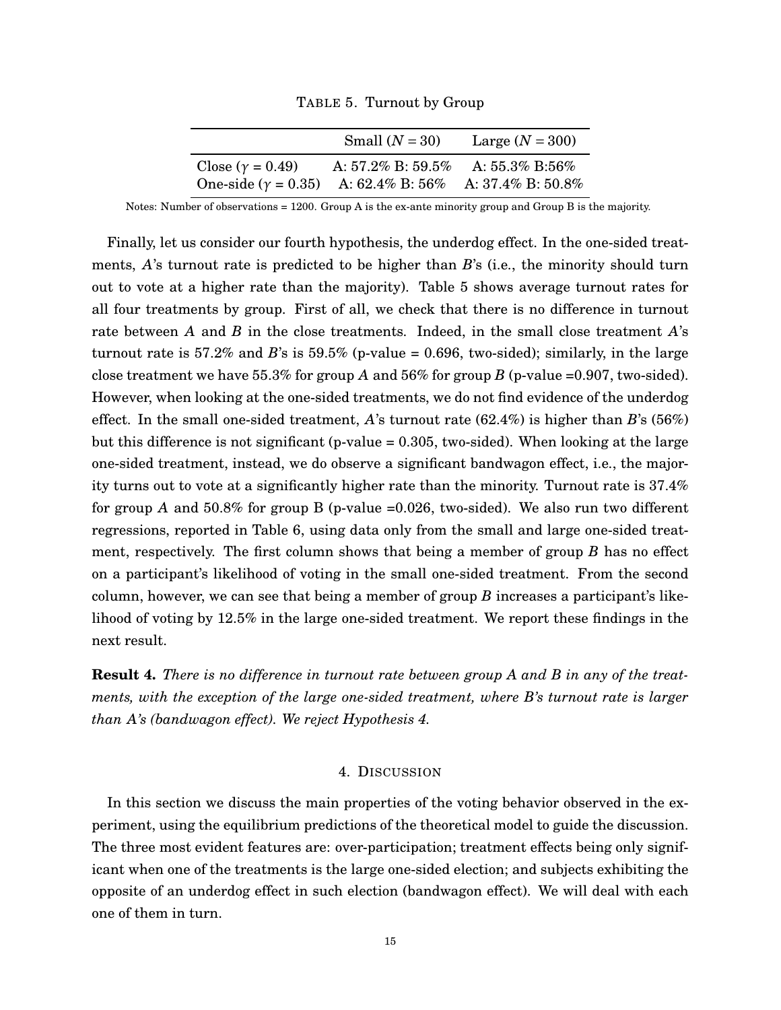TABLE 5. Turnout by Group

<span id="page-14-1"></span>

|                                            | Small $(N = 30)$        | Large $(N = 300)$ |
|--------------------------------------------|-------------------------|-------------------|
| Close $(\gamma = 0.49)$                    | A: $57.2\%$ B: $59.5\%$ | A: $55.3\%$ B:56% |
| One-side $(\gamma = 0.35)$ A: 62.4% B: 56% |                         | A: 37.4% B: 50.8% |

Notes: Number of observations = 1200. Group A is the ex-ante minority group and Group B is the majority.

Finally, let us consider our fourth hypothesis, the underdog effect. In the one-sided treatments, *A*'s turnout rate is predicted to be higher than *B*'s (i.e., the minority should turn out to vote at a higher rate than the majority). Table [5](#page-14-1) shows average turnout rates for all four treatments by group. First of all, we check that there is no difference in turnout rate between *A* and *B* in the close treatments. Indeed, in the small close treatment *A*'s turnout rate is 57.2% and *B*'s is 59.5% (p-value = 0.696, two-sided); similarly, in the large close treatment we have 55.3% for group A and 56% for group B (p-value =0.907, two-sided). However, when looking at the one-sided treatments, we do not find evidence of the underdog effect. In the small one-sided treatment, *A*'s turnout rate (62.4%) is higher than *B*'s (56%) but this difference is not significant (p-value  $= 0.305$ , two-sided). When looking at the large one-sided treatment, instead, we do observe a significant bandwagon effect, i.e., the majority turns out to vote at a significantly higher rate than the minority. Turnout rate is 37.4% for group *A* and 50.8% for group B (p-value =0.026, two-sided). We also run two different regressions, reported in Table [6,](#page-15-0) using data only from the small and large one-sided treatment, respectively. The first column shows that being a member of group *B* has no effect on a participant's likelihood of voting in the small one-sided treatment. From the second column, however, we can see that being a member of group *B* increases a participant's likelihood of voting by 12.5% in the large one-sided treatment. We report these findings in the next result.

**Result 4.** *There is no difference in turnout rate between group A and B in any of the treatments, with the exception of the large one-sided treatment, where B's turnout rate is larger than A's (bandwagon effect). We reject Hypothesis 4.*

# 4. DISCUSSION

<span id="page-14-0"></span>In this section we discuss the main properties of the voting behavior observed in the experiment, using the equilibrium predictions of the theoretical model to guide the discussion. The three most evident features are: over-participation; treatment effects being only significant when one of the treatments is the large one-sided election; and subjects exhibiting the opposite of an underdog effect in such election (bandwagon effect). We will deal with each one of them in turn.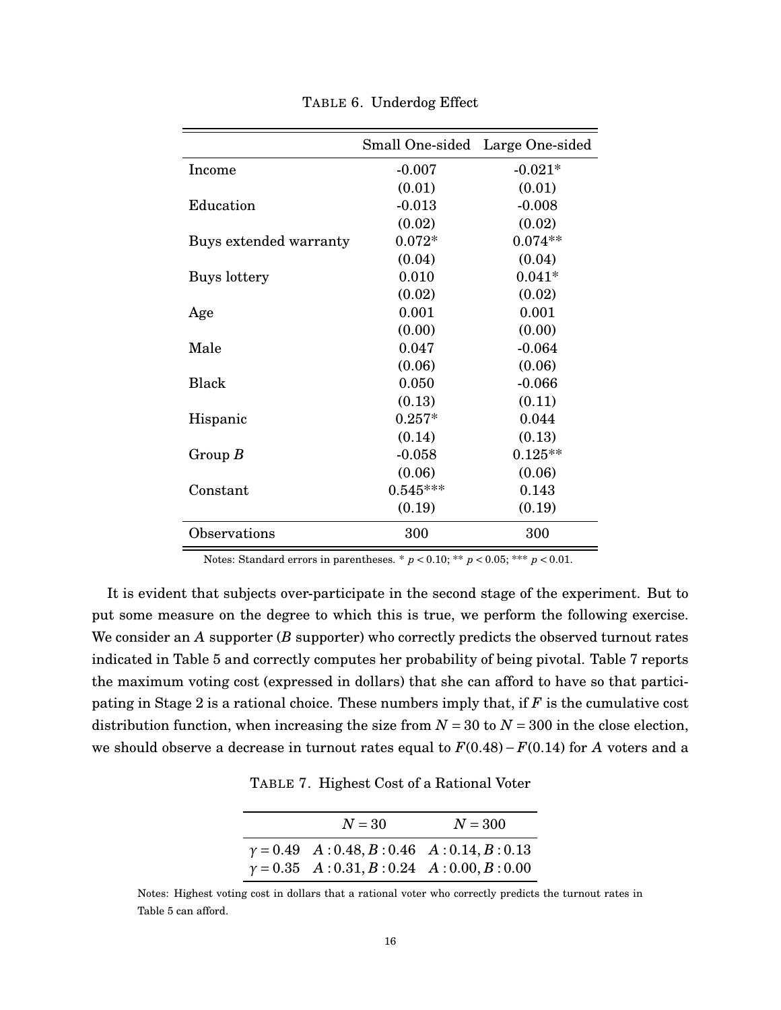<span id="page-15-0"></span>

|                        | <b>Small One-sided</b> | Large One-sided |
|------------------------|------------------------|-----------------|
| Income                 | $-0.007$               | $-0.021*$       |
|                        | (0.01)                 | (0.01)          |
| Education              | $-0.013$               | $-0.008$        |
|                        | (0.02)                 | (0.02)          |
| Buys extended warranty | $0.072*$               | $0.074**$       |
|                        | (0.04)                 | (0.04)          |
| Buys lottery           | 0.010                  | $0.041*$        |
|                        | (0.02)                 | (0.02)          |
| Age                    | 0.001                  | 0.001           |
|                        | (0.00)                 | (0.00)          |
| Male                   | 0.047                  | $-0.064$        |
|                        | (0.06)                 | (0.06)          |
| <b>Black</b>           | 0.050                  | $-0.066$        |
|                        | (0.13)                 | (0.11)          |
| Hispanic               | $0.257*$               | 0.044           |
|                        | (0.14)                 | (0.13)          |
| Group $B$              | $-0.058$               | $0.125**$       |
|                        | (0.06)                 | (0.06)          |
| Constant               | $0.545***$             | 0.143           |
|                        | (0.19)                 | (0.19)          |
| Observations           | 300                    | 300             |

TABLE 6. Underdog Effect

Notes: Standard errors in parentheses. \* *p* < 0.10; \*\* *p* < 0.05; \*\*\* *p* < 0.01.

It is evident that subjects over-participate in the second stage of the experiment. But to put some measure on the degree to which this is true, we perform the following exercise. We consider an *A* supporter (*B* supporter) who correctly predicts the observed turnout rates indicated in Table [5](#page-14-1) and correctly computes her probability of being pivotal. Table [7](#page-15-1) reports the maximum voting cost (expressed in dollars) that she can afford to have so that participating in Stage 2 is a rational choice. These numbers imply that, if *F* is the cumulative cost distribution function, when increasing the size from  $N = 30$  to  $N = 300$  in the close election, we should observe a decrease in turnout rates equal to *F*(0.48)− *F*(0.14) for *A* voters and a

TABLE 7. Highest Cost of a Rational Voter

| $N = 30$                                          | $N = 300$ |
|---------------------------------------------------|-----------|
| $\gamma = 0.49$ A: 0.48, B: 0.46 A: 0.14, B: 0.13 |           |
| $\gamma = 0.35$ A: 0.31, B: 0.24 A: 0.00, B: 0.00 |           |

<span id="page-15-1"></span>Notes: Highest voting cost in dollars that a rational voter who correctly predicts the turnout rates in Table [5](#page-14-1) can afford.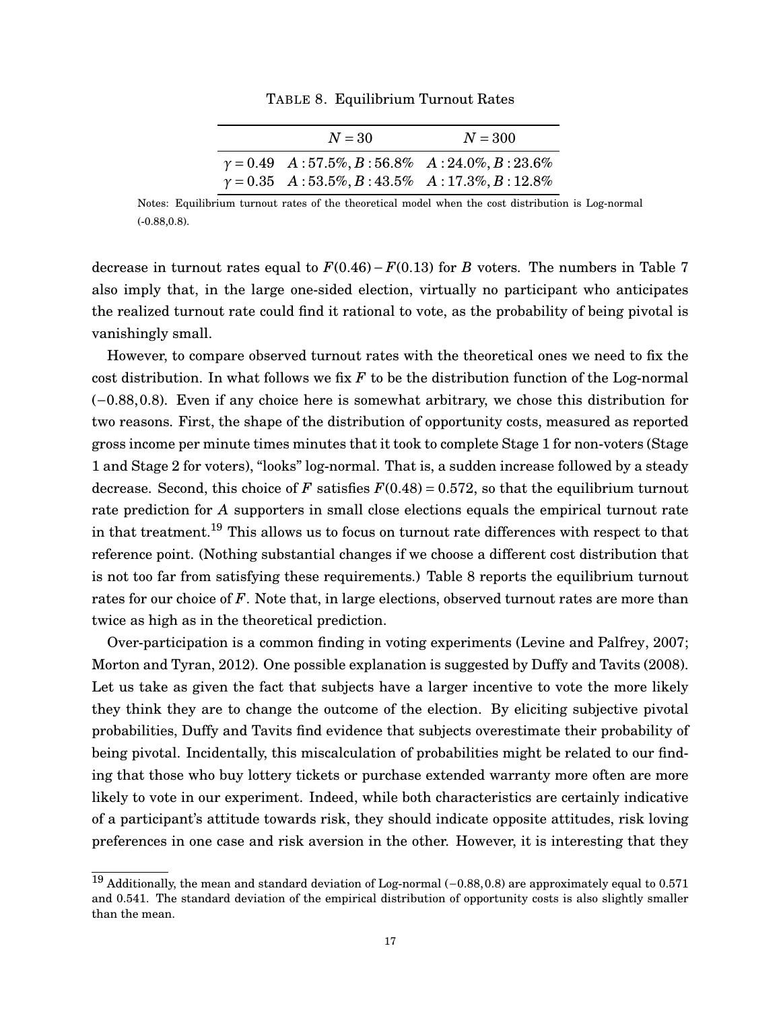|  |  | TABLE 8. Equilibrium Turnout Rates |
|--|--|------------------------------------|
|--|--|------------------------------------|

| $N = 30$                                              | $N = 300$ |
|-------------------------------------------------------|-----------|
| $\gamma = 0.49$ A: 57.5%, B: 56.8% A: 24.0%, B: 23.6% |           |
| $\gamma = 0.35$ A: 53.5%, B: 43.5% A: 17.3%, B: 12.8% |           |

<span id="page-16-1"></span>Notes: Equilibrium turnout rates of the theoretical model when the cost distribution is Log-normal (-0.88,0.8).

decrease in turnout rates equal to  $F(0.46) - F(0.13)$  for *B* voters. The numbers in Table [7](#page-15-1) also imply that, in the large one-sided election, virtually no participant who anticipates the realized turnout rate could find it rational to vote, as the probability of being pivotal is vanishingly small.

However, to compare observed turnout rates with the theoretical ones we need to fix the cost distribution. In what follows we fix *F* to be the distribution function of the Log-normal (−0.88,0.8). Even if any choice here is somewhat arbitrary, we chose this distribution for two reasons. First, the shape of the distribution of opportunity costs, measured as reported gross income per minute times minutes that it took to complete Stage 1 for non-voters (Stage 1 and Stage 2 for voters), "looks" log-normal. That is, a sudden increase followed by a steady decrease. Second, this choice of *F* satisfies  $F(0.48) = 0.572$ , so that the equilibrium turnout rate prediction for *A* supporters in small close elections equals the empirical turnout rate in that treatment.<sup>[19](#page-16-0)</sup> This allows us to focus on turnout rate differences with respect to that reference point. (Nothing substantial changes if we choose a different cost distribution that is not too far from satisfying these requirements.) Table [8](#page-16-1) reports the equilibrium turnout rates for our choice of *F*. Note that, in large elections, observed turnout rates are more than twice as high as in the theoretical prediction.

Over-participation is a common finding in voting experiments [\(Levine and Palfrey,](#page-30-5) [2007;](#page-30-5) [Morton and Tyran,](#page-30-16) [2012\)](#page-30-16). One possible explanation is suggested by [Duffy and Tavits](#page-30-8) [\(2008\)](#page-30-8). Let us take as given the fact that subjects have a larger incentive to vote the more likely they think they are to change the outcome of the election. By eliciting subjective pivotal probabilities, [Duffy and Tavits](#page-30-8) find evidence that subjects overestimate their probability of being pivotal. Incidentally, this miscalculation of probabilities might be related to our finding that those who buy lottery tickets or purchase extended warranty more often are more likely to vote in our experiment. Indeed, while both characteristics are certainly indicative of a participant's attitude towards risk, they should indicate opposite attitudes, risk loving preferences in one case and risk aversion in the other. However, it is interesting that they

<span id="page-16-0"></span><sup>19</sup> Additionally, the mean and standard deviation of Log-normal (−0.88,0.8) are approximately equal to 0.571 and 0.541. The standard deviation of the empirical distribution of opportunity costs is also slightly smaller than the mean.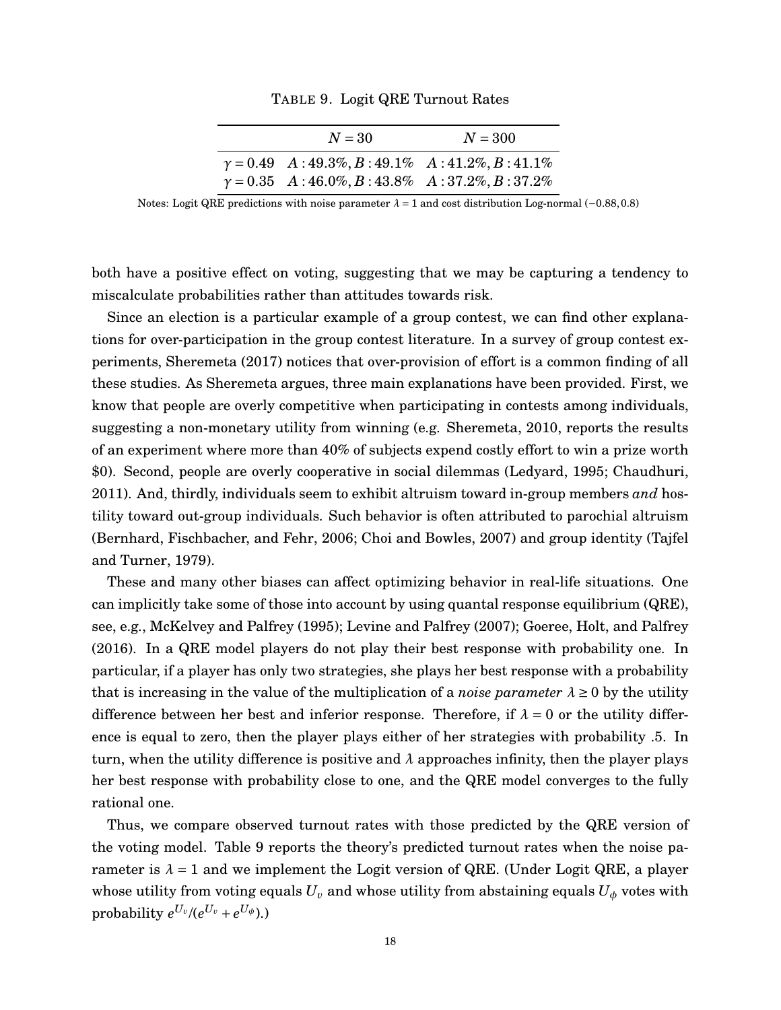| $N = 30$                                              | $N = 300$ |
|-------------------------------------------------------|-----------|
| $\gamma = 0.49$ A: 49.3%, B: 49.1% A: 41.2%, B: 41.1% |           |
| $\gamma = 0.35$ A: 46.0%, B: 43.8% A: 37.2%, B: 37.2% |           |

TABLE 9. Logit QRE Turnout Rates

both have a positive effect on voting, suggesting that we may be capturing a tendency to miscalculate probabilities rather than attitudes towards risk.

Since an election is a particular example of a group contest, we can find other explanations for over-participation in the group contest literature. In a survey of group contest experiments, [Sheremeta](#page-31-7) [\(2017\)](#page-31-7) notices that over-provision of effort is a common finding of all these studies. As [Sheremeta](#page-31-7) argues, three main explanations have been provided. First, we know that people are overly competitive when participating in contests among individuals, suggesting a non-monetary utility from winning (e.g. [Sheremeta,](#page-31-8) [2010,](#page-31-8) reports the results of an experiment where more than 40% of subjects expend costly effort to win a prize worth \$0). Second, people are overly cooperative in social dilemmas [\(Ledyard,](#page-30-17) [1995;](#page-30-17) [Chaudhuri,](#page-29-8) [2011\)](#page-29-8). And, thirdly, individuals seem to exhibit altruism toward in-group members *and* hostility toward out-group individuals. Such behavior is often attributed to parochial altruism [\(Bernhard, Fischbacher, and Fehr,](#page-29-9) [2006;](#page-29-9) [Choi and Bowles,](#page-29-10) [2007\)](#page-29-10) and group identity [\(Tajfel](#page-31-9) [and Turner,](#page-31-9) [1979\)](#page-31-9).

These and many other biases can affect optimizing behavior in real-life situations. One can implicitly take some of those into account by using quantal response equilibrium (QRE), see, e.g., [McKelvey and Palfrey](#page-30-18) [\(1995\)](#page-30-18); [Levine and Palfrey](#page-30-5) [\(2007\)](#page-30-5); [Goeree, Holt, and Palfrey](#page-30-19) [\(2016\)](#page-30-19). In a QRE model players do not play their best response with probability one. In particular, if a player has only two strategies, she plays her best response with a probability that is increasing in the value of the multiplication of a *noise parameter*  $\lambda \geq 0$  by the utility difference between her best and inferior response. Therefore, if *λ* = 0 or the utility difference is equal to zero, then the player plays either of her strategies with probability .5. In turn, when the utility difference is positive and  $\lambda$  approaches infinity, then the player plays her best response with probability close to one, and the QRE model converges to the fully rational one.

Thus, we compare observed turnout rates with those predicted by the QRE version of the voting model. Table [9](#page-17-0) reports the theory's predicted turnout rates when the noise parameter is  $\lambda = 1$  and we implement the Logit version of QRE. (Under Logit QRE, a player whose utility from voting equals  $U_v$  and whose utility from abstaining equals  $U_\phi$  votes with  $\text{probability}\ e^{U_v}/(e^{U_v}+e^{U_\phi}).$ 

<span id="page-17-0"></span>Notes: Logit QRE predictions with noise parameter *λ* = 1 and cost distribution Log-normal (−0.88,0.8)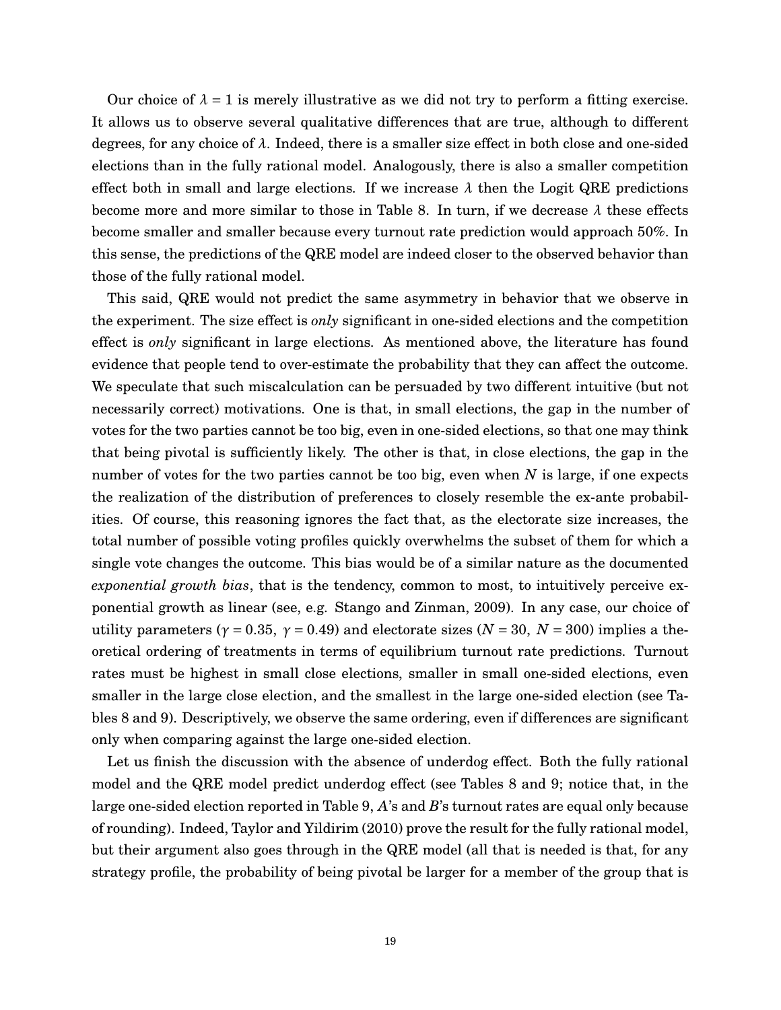Our choice of  $\lambda = 1$  is merely illustrative as we did not try to perform a fitting exercise. It allows us to observe several qualitative differences that are true, although to different degrees, for any choice of *λ*. Indeed, there is a smaller size effect in both close and one-sided elections than in the fully rational model. Analogously, there is also a smaller competition effect both in small and large elections. If we increase  $\lambda$  then the Logit QRE predictions become more and more similar to those in Table [8.](#page-16-1) In turn, if we decrease  $\lambda$  these effects become smaller and smaller because every turnout rate prediction would approach 50%. In this sense, the predictions of the QRE model are indeed closer to the observed behavior than those of the fully rational model.

This said, QRE would not predict the same asymmetry in behavior that we observe in the experiment. The size effect is *only* significant in one-sided elections and the competition effect is *only* significant in large elections. As mentioned above, the literature has found evidence that people tend to over-estimate the probability that they can affect the outcome. We speculate that such miscalculation can be persuaded by two different intuitive (but not necessarily correct) motivations. One is that, in small elections, the gap in the number of votes for the two parties cannot be too big, even in one-sided elections, so that one may think that being pivotal is sufficiently likely. The other is that, in close elections, the gap in the number of votes for the two parties cannot be too big, even when *N* is large, if one expects the realization of the distribution of preferences to closely resemble the ex-ante probabilities. Of course, this reasoning ignores the fact that, as the electorate size increases, the total number of possible voting profiles quickly overwhelms the subset of them for which a single vote changes the outcome. This bias would be of a similar nature as the documented *exponential growth bias*, that is the tendency, common to most, to intuitively perceive exponential growth as linear (see, e.g. [Stango and Zinman,](#page-31-10) [2009\)](#page-31-10). In any case, our choice of utility parameters ( $γ = 0.35$ ,  $γ = 0.49$ ) and electorate sizes ( $N = 30$ ,  $N = 300$ ) implies a theoretical ordering of treatments in terms of equilibrium turnout rate predictions. Turnout rates must be highest in small close elections, smaller in small one-sided elections, even smaller in the large close election, and the smallest in the large one-sided election (see Tables [8](#page-16-1) and [9\)](#page-17-0). Descriptively, we observe the same ordering, even if differences are significant only when comparing against the large one-sided election.

Let us finish the discussion with the absence of underdog effect. Both the fully rational model and the QRE model predict underdog effect (see Tables [8](#page-16-1) and [9;](#page-17-0) notice that, in the large one-sided election reported in Table [9,](#page-17-0) *A*'s and *B*'s turnout rates are equal only because of rounding). Indeed, [Taylor and Yildirim](#page-31-6) [\(2010\)](#page-31-6) prove the result for the fully rational model, but their argument also goes through in the QRE model (all that is needed is that, for any strategy profile, the probability of being pivotal be larger for a member of the group that is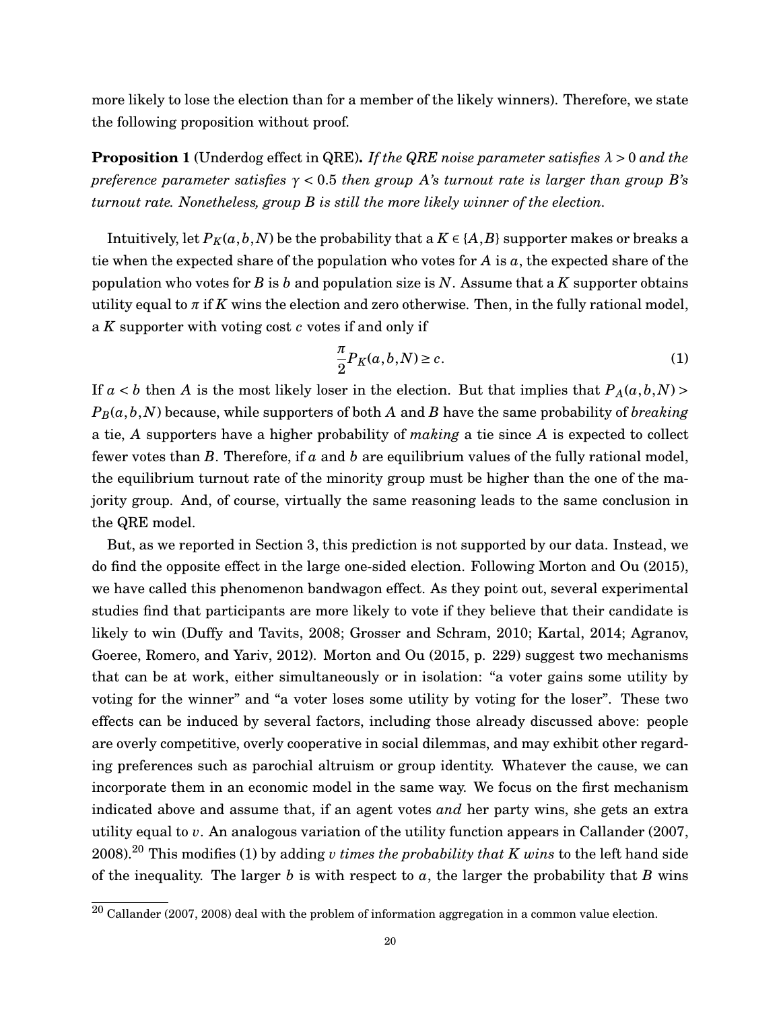more likely to lose the election than for a member of the likely winners). Therefore, we state the following proposition without proof.

**Proposition 1** (Underdog effect in QRE)**.** *If the QRE noise parameter satisfies λ* > 0 *and the preference parameter satisfies γ* < 0.5 *then group A's turnout rate is larger than group B's turnout rate. Nonetheless, group B is still the more likely winner of the election.*

Intuitively, let  $P_K(a, b, N)$  be the probability that a  $K \in \{A, B\}$  supporter makes or breaks a tie when the expected share of the population who votes for *A* is *a*, the expected share of the population who votes for *B* is *b* and population size is *N*. Assume that a *K* supporter obtains utility equal to *π* if *K* wins the election and zero otherwise. Then, in the fully rational model, a *K* supporter with voting cost *c* votes if and only if

<span id="page-19-1"></span>
$$
\frac{\pi}{2}P_K(a,b,N) \ge c.
$$
\n(1)

If  $a < b$  then *A* is the most likely loser in the election. But that implies that  $P_A(a, b, N)$  $P_B(a, b, N)$  because, while supporters of both *A* and *B* have the same probability of *breaking* a tie, *A* supporters have a higher probability of *making* a tie since *A* is expected to collect fewer votes than *B*. Therefore, if *a* and *b* are equilibrium values of the fully rational model, the equilibrium turnout rate of the minority group must be higher than the one of the majority group. And, of course, virtually the same reasoning leads to the same conclusion in the QRE model.

But, as we reported in Section [3,](#page-9-2) this prediction is not supported by our data. Instead, we do find the opposite effect in the large one-sided election. Following [Morton and Ou](#page-30-14) [\(2015\)](#page-30-14), we have called this phenomenon bandwagon effect. As they point out, several experimental studies find that participants are more likely to vote if they believe that their candidate is likely to win [\(Duffy and Tavits,](#page-30-8) [2008;](#page-30-8) [Grosser and Schram,](#page-30-9) [2010;](#page-30-9) [Kartal,](#page-30-15) [2014;](#page-30-15) [Agranov,](#page-29-4) [Goeree, Romero, and Yariv,](#page-29-4) [2012\)](#page-29-4). [Morton and Ou](#page-30-14) [\(2015,](#page-30-14) p. 229) suggest two mechanisms that can be at work, either simultaneously or in isolation: "a voter gains some utility by voting for the winner" and "a voter loses some utility by voting for the loser". These two effects can be induced by several factors, including those already discussed above: people are overly competitive, overly cooperative in social dilemmas, and may exhibit other regarding preferences such as parochial altruism or group identity. Whatever the cause, we can incorporate them in an economic model in the same way. We focus on the first mechanism indicated above and assume that, if an agent votes *and* her party wins, she gets an extra utility equal to *v*. An analogous variation of the utility function appears in [Callander](#page-29-5) [\(2007,](#page-29-5) [2008\)](#page-29-6).[20](#page-19-0) This modifies [\(1\)](#page-19-1) by adding *v times the probability that K wins* to the left hand side of the inequality. The larger  $b$  is with respect to  $a$ , the larger the probability that  $B$  wins

<span id="page-19-0"></span> $20$  [Callander](#page-29-5) [\(2007,](#page-29-5) [2008\)](#page-29-6) deal with the problem of information aggregation in a common value election.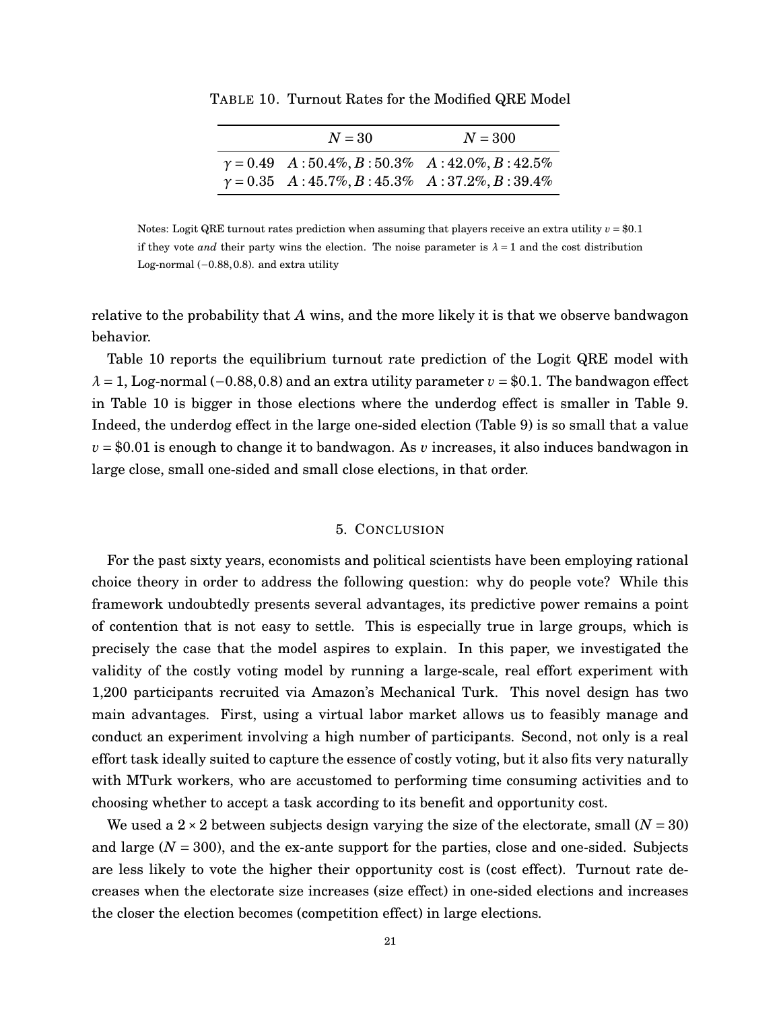| $N = 30$                                                                                                       | $N = 300$ |
|----------------------------------------------------------------------------------------------------------------|-----------|
| $\gamma = 0.49$ A: 50.4%, B: 50.3% A: 42.0%, B: 42.5%<br>$\gamma = 0.35$ A: 45.7%, B: 45.3% A: 37.2%, B: 39.4% |           |

<span id="page-20-0"></span>TABLE 10. Turnout Rates for the Modified QRE Model

Notes: Logit QRE turnout rates prediction when assuming that players receive an extra utility  $v = $0.1$ if they vote *and* their party wins the election. The noise parameter is  $\lambda = 1$  and the cost distribution Log-normal (−0.88,0.8). and extra utility

relative to the probability that *A* wins, and the more likely it is that we observe bandwagon behavior.

Table [10](#page-20-0) reports the equilibrium turnout rate prediction of the Logit QRE model with  $\lambda = 1$ , Log-normal (−0.88,0.8) and an extra utility parameter  $v = $0.1$ . The bandwagon effect in Table [10](#page-20-0) is bigger in those elections where the underdog effect is smaller in Table [9.](#page-17-0) Indeed, the underdog effect in the large one-sided election (Table [9\)](#page-17-0) is so small that a value *v* = \$0.01 is enough to change it to bandwagon. As *v* increases, it also induces bandwagon in large close, small one-sided and small close elections, in that order.

### 5. CONCLUSION

For the past sixty years, economists and political scientists have been employing rational choice theory in order to address the following question: why do people vote? While this framework undoubtedly presents several advantages, its predictive power remains a point of contention that is not easy to settle. This is especially true in large groups, which is precisely the case that the model aspires to explain. In this paper, we investigated the validity of the costly voting model by running a large-scale, real effort experiment with 1,200 participants recruited via Amazon's Mechanical Turk. This novel design has two main advantages. First, using a virtual labor market allows us to feasibly manage and conduct an experiment involving a high number of participants. Second, not only is a real effort task ideally suited to capture the essence of costly voting, but it also fits very naturally with MTurk workers, who are accustomed to performing time consuming activities and to choosing whether to accept a task according to its benefit and opportunity cost.

We used a  $2 \times 2$  between subjects design varying the size of the electorate, small  $(N = 30)$ and large  $(N = 300)$ , and the ex-ante support for the parties, close and one-sided. Subjects are less likely to vote the higher their opportunity cost is (cost effect). Turnout rate decreases when the electorate size increases (size effect) in one-sided elections and increases the closer the election becomes (competition effect) in large elections.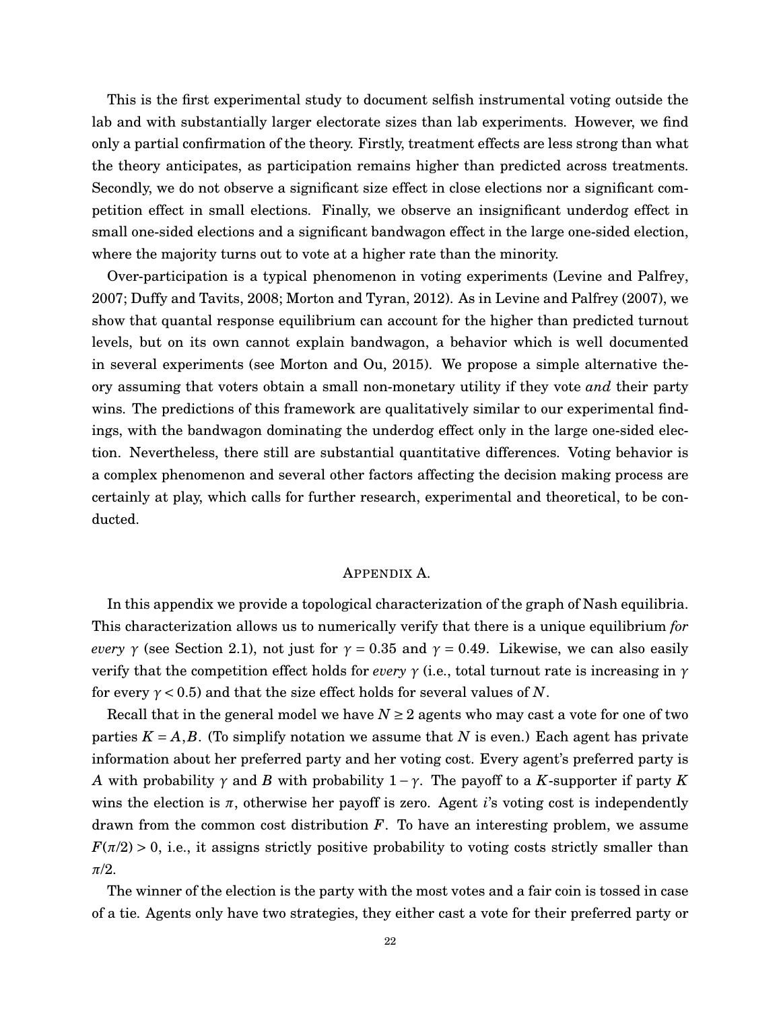This is the first experimental study to document selfish instrumental voting outside the lab and with substantially larger electorate sizes than lab experiments. However, we find only a partial confirmation of the theory. Firstly, treatment effects are less strong than what the theory anticipates, as participation remains higher than predicted across treatments. Secondly, we do not observe a significant size effect in close elections nor a significant competition effect in small elections. Finally, we observe an insignificant underdog effect in small one-sided elections and a significant bandwagon effect in the large one-sided election, where the majority turns out to vote at a higher rate than the minority.

Over-participation is a typical phenomenon in voting experiments [\(Levine and Palfrey,](#page-30-5) [2007;](#page-30-5) [Duffy and Tavits,](#page-30-8) [2008;](#page-30-8) [Morton and Tyran,](#page-30-16) [2012\)](#page-30-16). As in [Levine and Palfrey](#page-30-5) [\(2007\)](#page-30-5), we show that quantal response equilibrium can account for the higher than predicted turnout levels, but on its own cannot explain bandwagon, a behavior which is well documented in several experiments (see [Morton and Ou,](#page-30-14) [2015\)](#page-30-14). We propose a simple alternative theory assuming that voters obtain a small non-monetary utility if they vote *and* their party wins. The predictions of this framework are qualitatively similar to our experimental findings, with the bandwagon dominating the underdog effect only in the large one-sided election. Nevertheless, there still are substantial quantitative differences. Voting behavior is a complex phenomenon and several other factors affecting the decision making process are certainly at play, which calls for further research, experimental and theoretical, to be conducted.

#### APPENDIX A.

<span id="page-21-0"></span>In this appendix we provide a topological characterization of the graph of Nash equilibria. This characterization allows us to numerically verify that there is a unique equilibrium *for every γ* (see Section [2.1\)](#page-5-5), not just for  $\gamma = 0.35$  and  $\gamma = 0.49$ . Likewise, we can also easily verify that the competition effect holds for *every γ* (i.e., total turnout rate is increasing in *γ* for every  $\gamma$  < 0.5) and that the size effect holds for several values of N.

Recall that in the general model we have  $N \ge 2$  agents who may cast a vote for one of two parties  $K = A, B$ . (To simplify notation we assume that N is even.) Each agent has private information about her preferred party and her voting cost. Every agent's preferred party is *A* with probability *γ* and *B* with probability 1 − *γ*. The payoff to a *K*-supporter if party *K* wins the election is  $\pi$ , otherwise her payoff is zero. Agent *i*'s voting cost is independently drawn from the common cost distribution *F*. To have an interesting problem, we assume  $F(\pi/2) > 0$ , i.e., it assigns strictly positive probability to voting costs strictly smaller than *π*/2.

The winner of the election is the party with the most votes and a fair coin is tossed in case of a tie. Agents only have two strategies, they either cast a vote for their preferred party or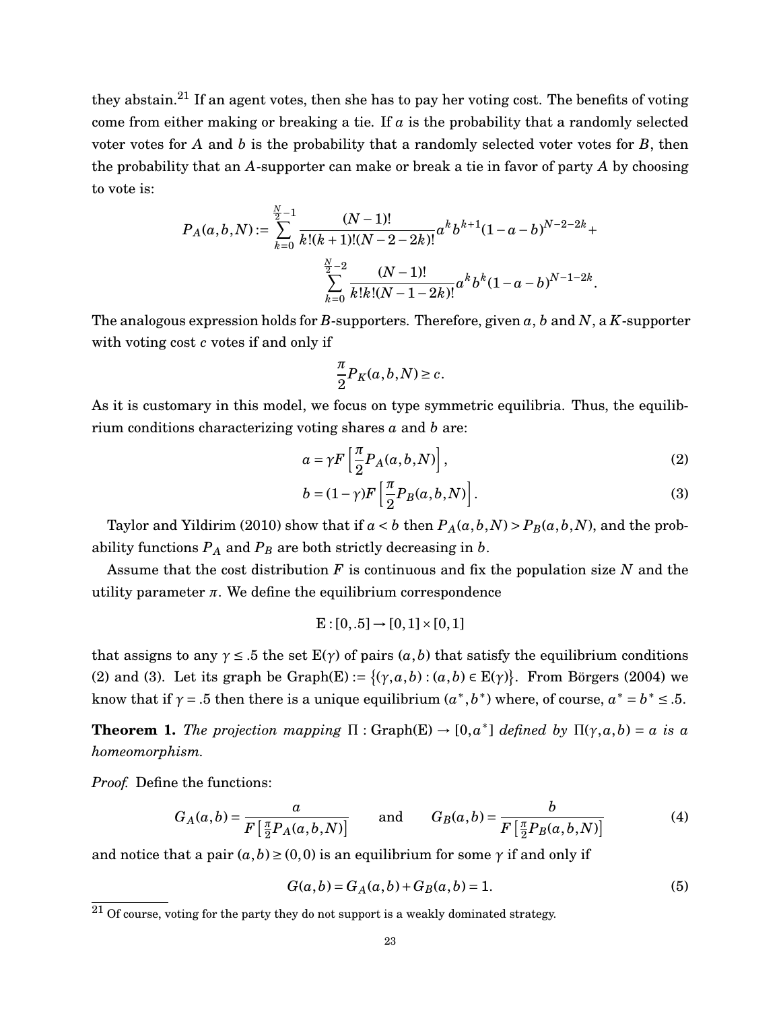they abstain. $^{21}$  $^{21}$  $^{21}$  If an agent votes, then she has to pay her voting cost. The benefits of voting come from either making or breaking a tie. If *a* is the probability that a randomly selected voter votes for *A* and *b* is the probability that a randomly selected voter votes for *B*, then the probability that an *A*-supporter can make or break a tie in favor of party *A* by choosing to vote is:

$$
P_A(a,b,N):=\sum_{k=0}^{\frac{N}{2}-1}\frac{(N-1)!}{k!(k+1)!(N-2-2k)!}a^k b^{k+1}(1-a-b)^{N-2-2k}+\sum_{\frac{N}{2}-2}\frac{(N-1)!}{k!k!(N-1-2k)!}a^k b^k(1-a-b)^{N-1-2k}.
$$

The analogous expression holds for *B*-supporters. Therefore, given *a*, *b* and *N*, a *K*-supporter with voting cost *c* votes if and only if

<span id="page-22-2"></span><span id="page-22-1"></span>
$$
\frac{\pi}{2}P_K(a,b,N)\geq c.
$$

As it is customary in this model, we focus on type symmetric equilibria. Thus, the equilibrium conditions characterizing voting shares *a* and *b* are:

$$
a = \gamma F \left[ \frac{\pi}{2} P_A(a, b, N) \right], \tag{2}
$$

$$
b = (1 - \gamma)F\left[\frac{\pi}{2}P_B(a, b, N)\right].
$$
 (3)

[Taylor and Yildirim](#page-31-6) [\(2010\)](#page-31-6) show that if  $a < b$  then  $P_A(a, b, N) > P_B(a, b, N)$ , and the probability functions  $P_A$  and  $P_B$  are both strictly decreasing in *b*.

Assume that the cost distribution *F* is continuous and fix the population size *N* and the utility parameter  $\pi$ . We define the equilibrium correspondence

$$
E:[0,.5]\to [0,1]\times [0,1]
$$

that assigns to any  $\gamma \leq 0.5$  the set  $E(\gamma)$  of pairs  $(a, b)$  that satisfy the equilibrium conditions [\(2\)](#page-22-1) and [\(3\)](#page-22-2). Let its graph be Graph(E) := { $(\gamma, a, b) : (a, b) \in E(\gamma)$ }. From [Börgers](#page-29-11) [\(2004\)](#page-29-11) we know that if  $\gamma = .5$  then there is a unique equilibrium  $(a^*, b^*)$  where, of course,  $a^* = b^* \leq .5$ .

<span id="page-22-4"></span>**Theorem 1.** The projection mapping  $\Pi : Graph(E) \rightarrow [0, a^*]$  *defined by*  $\Pi(\gamma, a, b) = a$  *is a homeomorphism.*

*Proof.* Define the functions:

$$
G_A(a,b) = \frac{a}{F\left[\frac{\pi}{2}P_A(a,b,N)\right]} \quad \text{and} \quad G_B(a,b) = \frac{b}{F\left[\frac{\pi}{2}P_B(a,b,N)\right]}
$$
(4)

and notice that a pair  $(a, b) \ge (0, 0)$  is an equilibrium for some  $\gamma$  if and only if

<span id="page-22-3"></span>
$$
G(a,b) = G_A(a,b) + G_B(a,b) = 1.
$$
 (5)

<span id="page-22-0"></span> $21$  Of course, voting for the party they do not support is a weakly dominated strategy.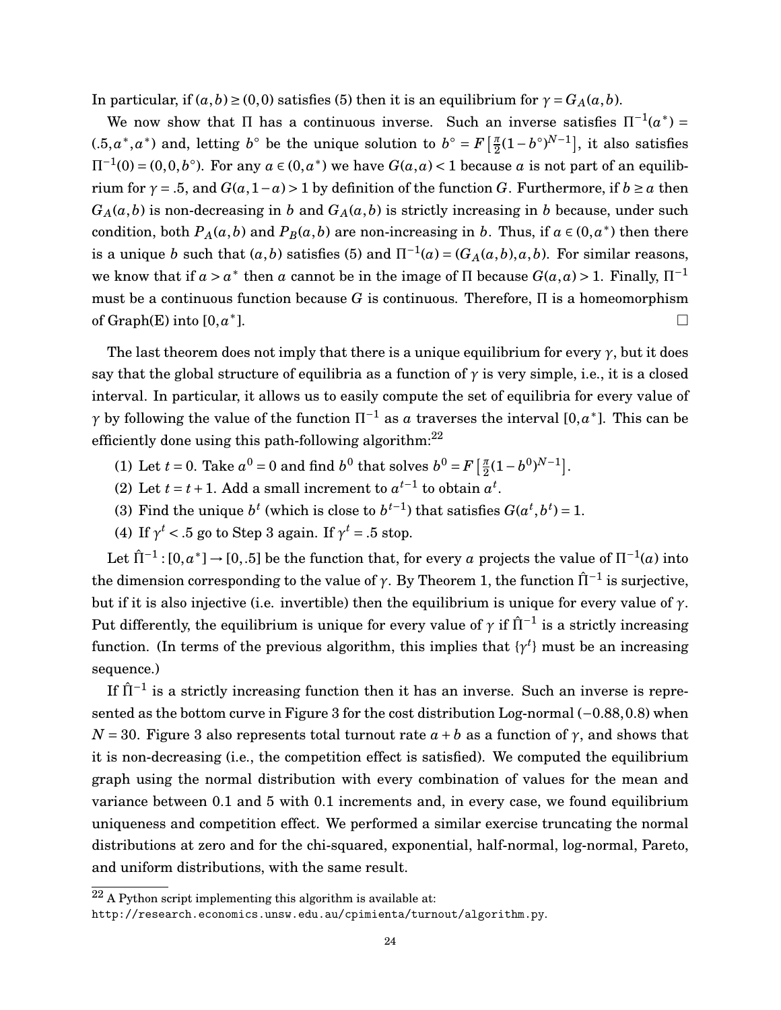In particular, if  $(a, b) \ge (0, 0)$  satisfies [\(5\)](#page-22-3) then it is an equilibrium for  $\gamma = G_A(a, b)$ .

We now show that  $\Pi$  has a continuous inverse. Such an inverse satisfies  $\Pi^{-1}(a^*)$  =  $(0.5, a^*, a^*)$  and, letting *b*<sup>°</sup> be the unique solution to  $b^\circ = F\left[\frac{\pi}{2}\right]$  $\frac{\pi}{2}(1-b^\circ)^{N-1}$ , it also satisfies  $\Pi^{-1}(0) = (0,0,b^{\circ}).$  For any  $a \in (0,a^*)$  we have  $G(a,a) < 1$  because  $a$  is not part of an equilibrium for  $\gamma = .5$ , and  $G(a, 1-a) > 1$  by definition of the function *G*. Furthermore, if  $b \ge a$  then  $G_A(a, b)$  is non-decreasing in *b* and  $G_A(a, b)$  is strictly increasing in *b* because, under such condition, both  $P_A(a,b)$  and  $P_B(a,b)$  are non-increasing in *b*. Thus, if  $a \in (0,a^*)$  then there is a unique *b* such that  $(a, b)$  satisfies [\(5\)](#page-22-3) and  $\Pi^{-1}(a) = (G_A(a, b), a, b)$ . For similar reasons, we know that if  $a > a^*$  then  $a$  cannot be in the image of  $\Pi$  because  $G(a, a) > 1$ . Finally,  $\Pi^{-1}$ must be a continuous function because *G* is continuous. Therefore, Π is a homeomorphism of Graph(E) into [0,*a* ∗  $\Box$ 

The last theorem does not imply that there is a unique equilibrium for every  $\gamma$ , but it does say that the global structure of equilibria as a function of  $\gamma$  is very simple, i.e., it is a closed interval. In particular, it allows us to easily compute the set of equilibria for every value of *γ* by following the value of the function  $\Pi^{-1}$  as *a* traverses the interval [0,*a*\*]. This can be efficiently done using this path-following algorithm: $^{22}$  $^{22}$  $^{22}$ 

- (1) Let  $t = 0$ . Take  $a^0 = 0$  and find  $b^0$  that solves  $b^0 = F\left[\frac{\pi}{2}\right]$  $\frac{\pi}{2}(1-b^0)^{N-1}$ .
- (2) Let  $t = t + 1$ . Add a small increment to  $a^{t-1}$  to obtain  $a^t$ .
- (3) Find the unique  $b^t$  (which is close to  $b^{t-1}$ ) that satisfies  $G(a^t, b^t) = 1$ .
- (4) If  $\gamma^t$  < .5 go to Step 3 again. If  $\gamma^t = .5$  stop.

Let  $\hat{\Pi}^{-1}$ :  $[0, a^*] \rightarrow [0, .5]$  be the function that, for every *a* projects the value of  $\Pi^{-1}(a)$  into the dimension corresponding to the value of  $\gamma$ . By Theorem [1,](#page-22-4) the function  $\hat{\Pi}^{-1}$  is surjective, but if it is also injective (i.e. invertible) then the equilibrium is unique for every value of *γ*. Put differently, the equilibrium is unique for every value of  $\gamma$  if  $\hat{\Pi}^{-1}$  is a strictly increasing function. (In terms of the previous algorithm, this implies that  $\{\gamma^t\}$  must be an increasing sequence.)

If  $\hat{\Pi}^{-1}$  is a strictly increasing function then it has an inverse. Such an inverse is repre-sented as the bottom curve in Figure [3](#page-24-0) for the cost distribution Log-normal (−0.88,0.8) when  $N = 30$  $N = 30$  $N = 30$ . Figure 3 also represents total turnout rate  $a + b$  as a function of  $\gamma$ , and shows that it is non-decreasing (i.e., the competition effect is satisfied). We computed the equilibrium graph using the normal distribution with every combination of values for the mean and variance between 0.1 and 5 with 0.1 increments and, in every case, we found equilibrium uniqueness and competition effect. We performed a similar exercise truncating the normal distributions at zero and for the chi-squared, exponential, half-normal, log-normal, Pareto, and uniform distributions, with the same result.

<span id="page-23-0"></span> $^{22}$  A Python script implementing this algorithm is available at:

<http://research.economics.unsw.edu.au/cpimienta/turnout/algorithm.py>.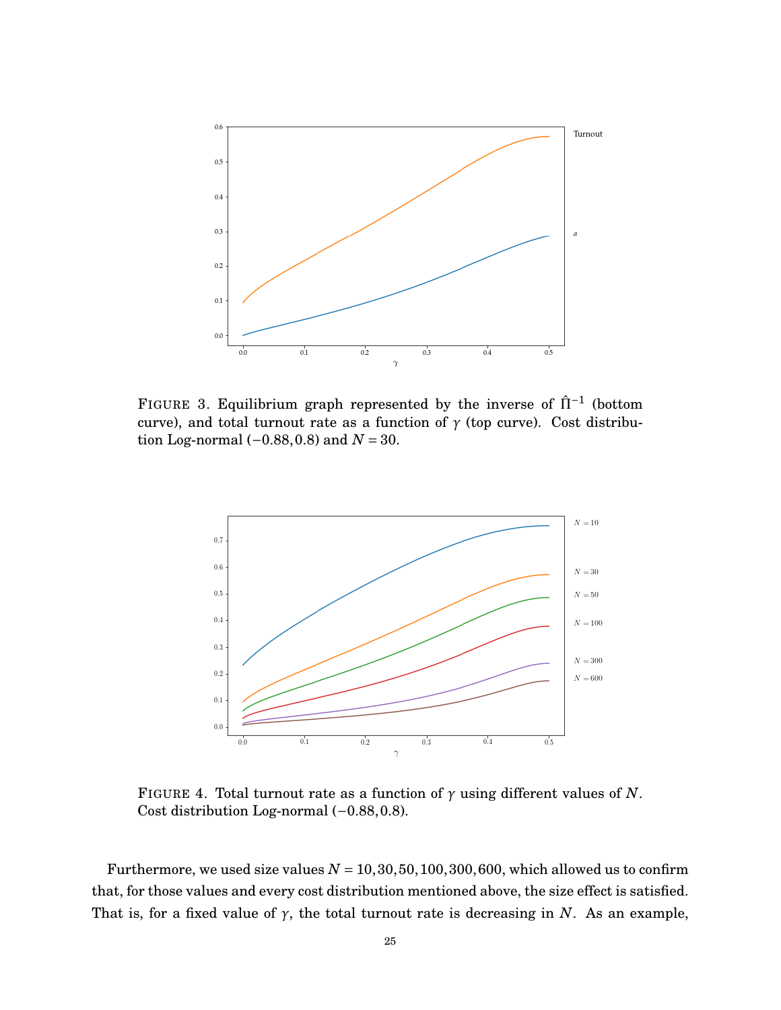<span id="page-24-0"></span>

<span id="page-24-1"></span>FIGURE 3. Equilibrium graph represented by the inverse of  $\hat{\Pi}^{-1}$  (bottom curve), and total turnout rate as a function of  $\gamma$  (top curve). Cost distribution Log-normal (−0.88,0.8) and *N* = 30.



FIGURE 4. Total turnout rate as a function of *γ* using different values of *N*. Cost distribution Log-normal (−0.88,0.8).

Furthermore, we used size values  $N = 10, 30, 50, 100, 300, 600$ , which allowed us to confirm that, for those values and every cost distribution mentioned above, the size effect is satisfied. That is, for a fixed value of  $\gamma$ , the total turnout rate is decreasing in *N*. As an example,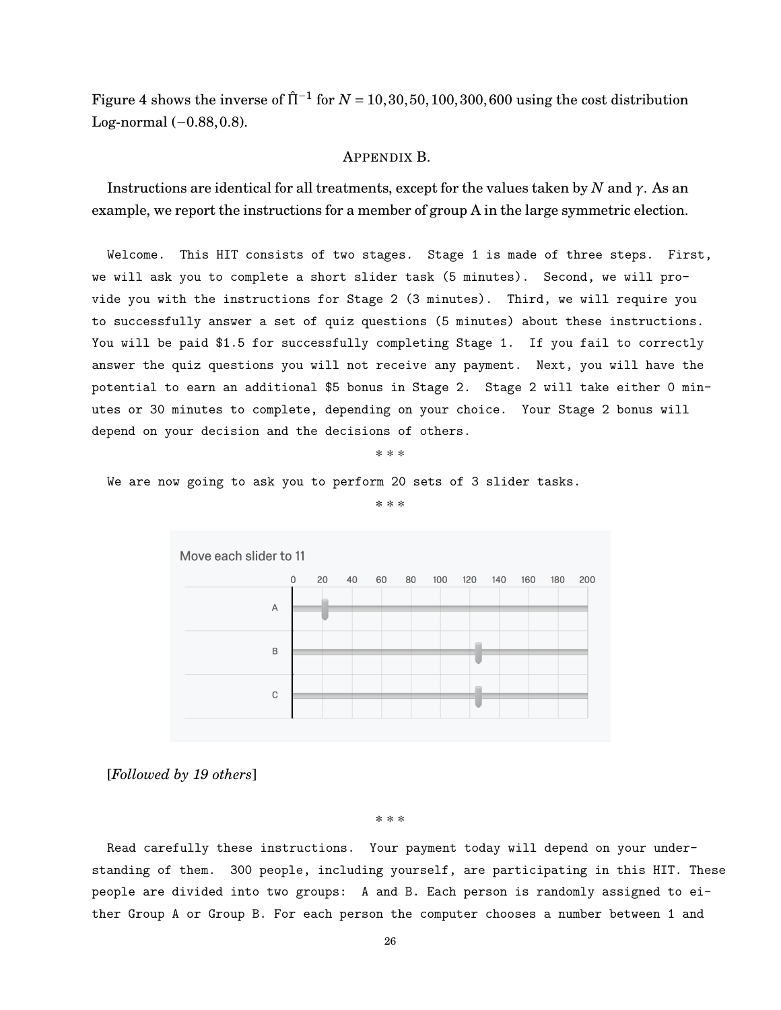Figure [4](#page-24-1) shows the inverse of  $\hat{\Pi}^{-1}$  for  $N = 10, 30, 50, 100, 300, 600$  using the cost distribution Log-normal  $(-0.88, 0.8)$ .

### APPENDIX B.

<span id="page-25-0"></span>Instructions are identical for all treatments, except for the values taken by *N* and *γ*. As an example, we report the instructions for a member of group A in the large symmetric election.

Welcome. This HIT consists of two stages. Stage 1 is made of three steps. First, we will ask you to complete a short slider task (5 minutes). Second, we will provide you with the instructions for Stage 2 (3 minutes). Third, we will require you to successfully answer a set of quiz questions (5 minutes) about these instructions. You will be paid \$1.5 for successfully completing Stage 1. If you fail to correctly answer the quiz questions you will not receive any payment. Next, you will have the potential to earn an additional \$5 bonus in Stage 2. Stage 2 will take either 0 minutes or 30 minutes to complete, depending on your choice. Your Stage 2 bonus will depend on your decision and the decisions of others.

\* \* \*

We are now going to ask you to perform 20 sets of 3 slider tasks.

\* \* \*



## [*Followed by 19 others*]

\* \* \*

Read carefully these instructions. Your payment today will depend on your understanding of them. 300 people, including yourself, are participating in this HIT. These people are divided into two groups: A and B. Each person is randomly assigned to either Group A or Group B. For each person the computer chooses a number between 1 and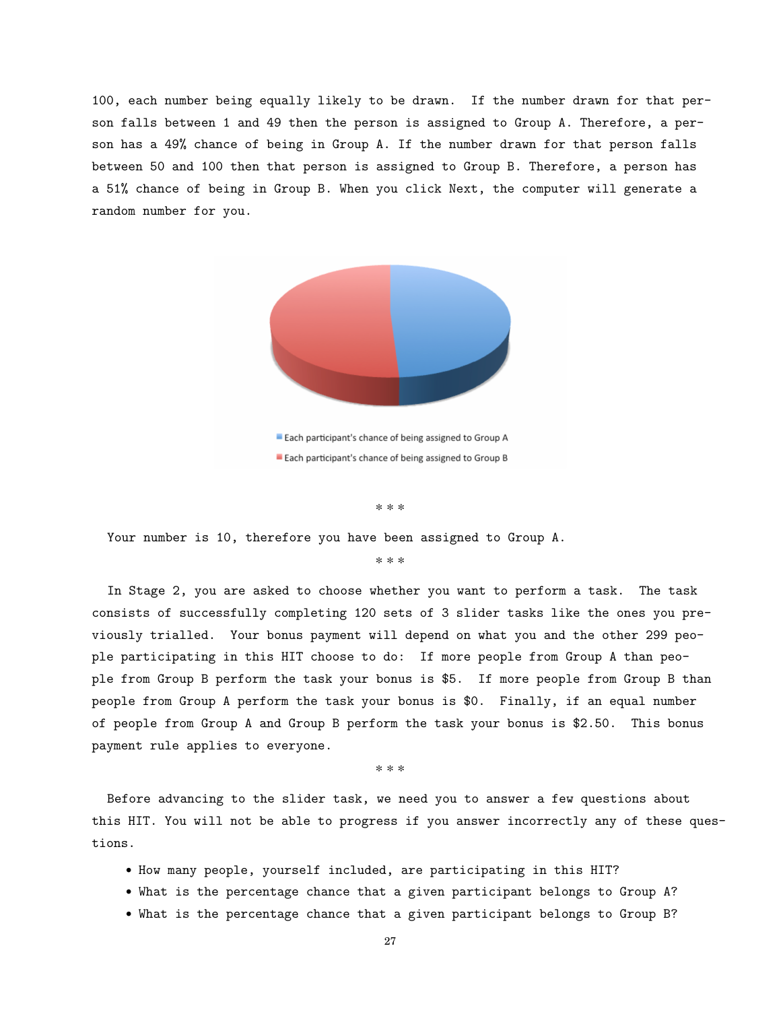100, each number being equally likely to be drawn. If the number drawn for that person falls between 1 and 49 then the person is assigned to Group A. Therefore, a person has a 49% chance of being in Group A. If the number drawn for that person falls between 50 and 100 then that person is assigned to Group B. Therefore, a person has a 51% chance of being in Group B. When you click Next, the computer will generate a random number for you.



Each participant's chance of being assigned to Group A Each participant's chance of being assigned to Group B

\* \* \*

Your number is 10, therefore you have been assigned to Group A.

\* \* \*

In Stage 2, you are asked to choose whether you want to perform a task. The task consists of successfully completing 120 sets of 3 slider tasks like the ones you previously trialled. Your bonus payment will depend on what you and the other 299 people participating in this HIT choose to do: If more people from Group A than people from Group B perform the task your bonus is \$5. If more people from Group B than people from Group A perform the task your bonus is \$0. Finally, if an equal number of people from Group A and Group B perform the task your bonus is \$2.50. This bonus payment rule applies to everyone.

\* \* \*

Before advancing to the slider task, we need you to answer a few questions about this HIT. You will not be able to progress if you answer incorrectly any of these questions.

- How many people, yourself included, are participating in this HIT?
- What is the percentage chance that a given participant belongs to Group A?
- What is the percentage chance that a given participant belongs to Group B?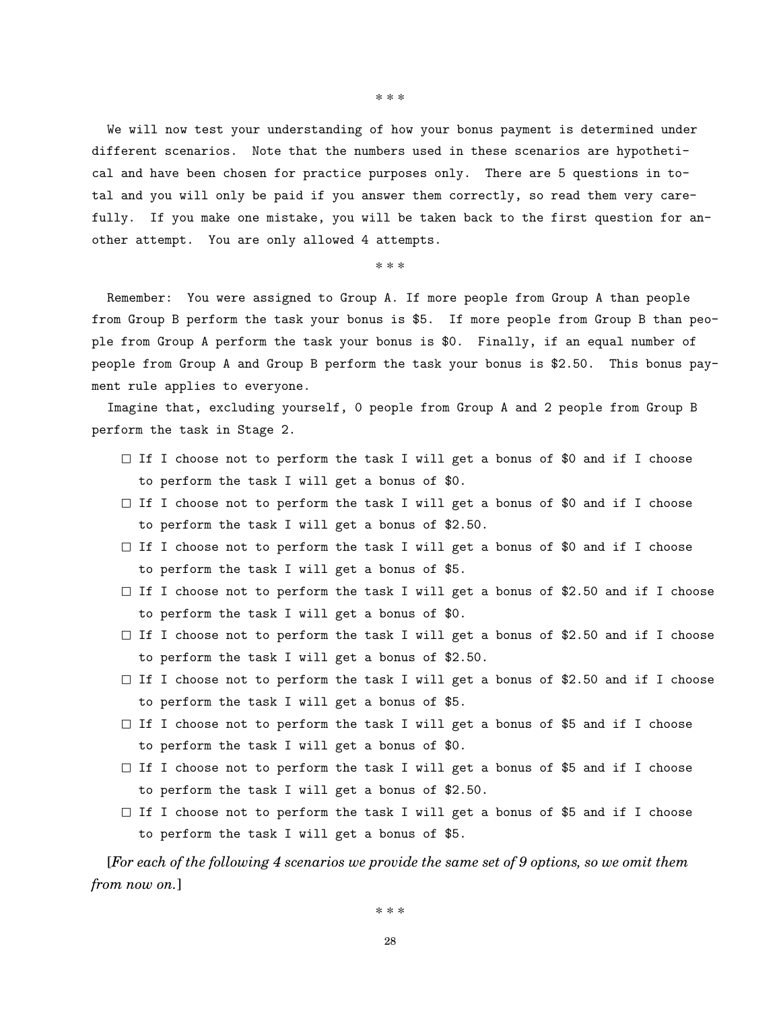We will now test your understanding of how your bonus payment is determined under different scenarios. Note that the numbers used in these scenarios are hypothetical and have been chosen for practice purposes only. There are 5 questions in total and you will only be paid if you answer them correctly, so read them very carefully. If you make one mistake, you will be taken back to the first question for another attempt. You are only allowed 4 attempts.

\* \* \*

Remember: You were assigned to Group A. If more people from Group A than people from Group B perform the task your bonus is \$5. If more people from Group B than people from Group A perform the task your bonus is \$0. Finally, if an equal number of people from Group A and Group B perform the task your bonus is \$2.50. This bonus payment rule applies to everyone.

Imagine that, excluding yourself, 0 people from Group A and 2 people from Group B perform the task in Stage 2.

- $\Box$  If I choose not to perform the task I will get a bonus of \$0 and if I choose to perform the task I will get a bonus of \$0.
- $\Box$  If I choose not to perform the task I will get a bonus of \$0 and if I choose to perform the task I will get a bonus of \$2.50.
- □ If I choose not to perform the task I will get a bonus of \$0 and if I choose to perform the task I will get a bonus of \$5.
- $\Box$  If I choose not to perform the task I will get a bonus of \$2.50 and if I choose to perform the task I will get a bonus of \$0.
- $\Box$  If I choose not to perform the task I will get a bonus of \$2.50 and if I choose to perform the task I will get a bonus of \$2.50.
- $\Box$  If I choose not to perform the task I will get a bonus of \$2.50 and if I choose to perform the task I will get a bonus of \$5.
- $\Box$  If I choose not to perform the task I will get a bonus of \$5 and if I choose to perform the task I will get a bonus of \$0.
- $\Box$  If I choose not to perform the task I will get a bonus of \$5 and if I choose to perform the task I will get a bonus of \$2.50.
- $\Box$  If I choose not to perform the task I will get a bonus of \$5 and if I choose to perform the task I will get a bonus of \$5.

[*For each of the following 4 scenarios we provide the same set of 9 options, so we omit them from now on.*]

\* \* \*

\* \* \*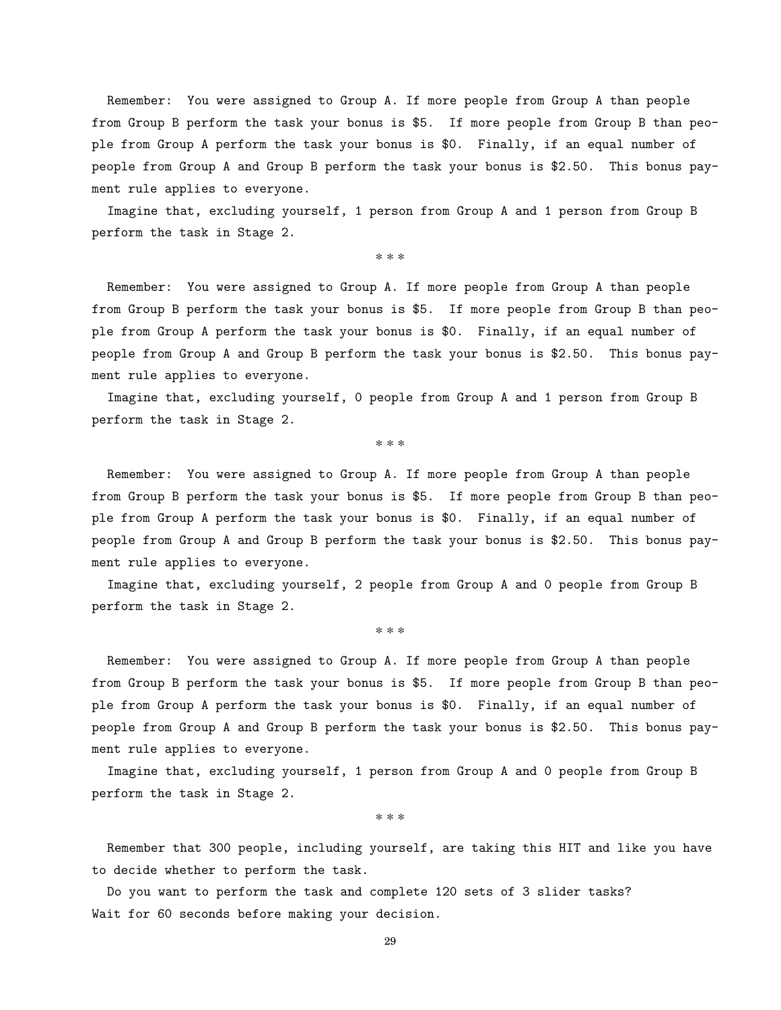Remember: You were assigned to Group A. If more people from Group A than people from Group B perform the task your bonus is \$5. If more people from Group B than people from Group A perform the task your bonus is \$0. Finally, if an equal number of people from Group A and Group B perform the task your bonus is \$2.50. This bonus payment rule applies to everyone.

Imagine that, excluding yourself, 1 person from Group A and 1 person from Group B perform the task in Stage 2.

\* \* \*

Remember: You were assigned to Group A. If more people from Group A than people from Group B perform the task your bonus is \$5. If more people from Group B than people from Group A perform the task your bonus is \$0. Finally, if an equal number of people from Group A and Group B perform the task your bonus is \$2.50. This bonus payment rule applies to everyone.

Imagine that, excluding yourself, 0 people from Group A and 1 person from Group B perform the task in Stage 2.

\* \* \*

Remember: You were assigned to Group A. If more people from Group A than people from Group B perform the task your bonus is \$5. If more people from Group B than people from Group A perform the task your bonus is \$0. Finally, if an equal number of people from Group A and Group B perform the task your bonus is \$2.50. This bonus payment rule applies to everyone.

Imagine that, excluding yourself, 2 people from Group A and 0 people from Group B perform the task in Stage 2.

\* \* \*

Remember: You were assigned to Group A. If more people from Group A than people from Group B perform the task your bonus is \$5. If more people from Group B than people from Group A perform the task your bonus is \$0. Finally, if an equal number of people from Group A and Group B perform the task your bonus is \$2.50. This bonus payment rule applies to everyone.

Imagine that, excluding yourself, 1 person from Group A and 0 people from Group B perform the task in Stage 2.

\* \* \*

Remember that 300 people, including yourself, are taking this HIT and like you have to decide whether to perform the task.

Do you want to perform the task and complete 120 sets of 3 slider tasks? Wait for 60 seconds before making your decision.

29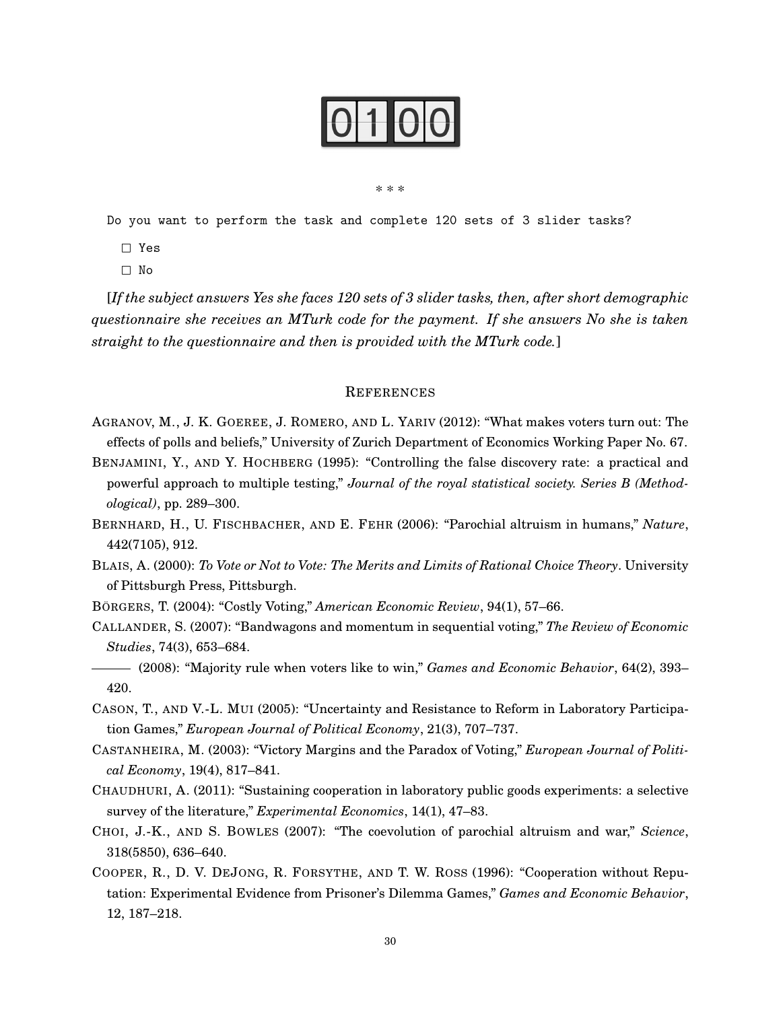```
* * *
```
Do you want to perform the task and complete 120 sets of 3 slider tasks?

- $\Box$  Yes
- $\Box$  No

[*If the subject answers Yes she faces 120 sets of 3 slider tasks, then, after short demographic questionnaire she receives an MTurk code for the payment. If she answers No she is taken straight to the questionnaire and then is provided with the MTurk code.*]

#### **REFERENCES**

- <span id="page-29-4"></span>AGRANOV, M., J. K. GOEREE, J. ROMERO, AND L. YARIV (2012): "What makes voters turn out: The effects of polls and beliefs," University of Zurich Department of Economics Working Paper No. 67.
- <span id="page-29-7"></span>BENJAMINI, Y., AND Y. HOCHBERG (1995): "Controlling the false discovery rate: a practical and powerful approach to multiple testing," *Journal of the royal statistical society. Series B (Methodological)*, pp. 289–300.
- <span id="page-29-9"></span>BERNHARD, H., U. FISCHBACHER, AND E. FEHR (2006): "Parochial altruism in humans," *Nature*, 442(7105), 912.
- <span id="page-29-0"></span>BLAIS, A. (2000): *To Vote or Not to Vote: The Merits and Limits of Rational Choice Theory*. University of Pittsburgh Press, Pittsburgh.
- <span id="page-29-11"></span><span id="page-29-5"></span>BÖRGERS, T. (2004): "Costly Voting," *American Economic Review*, 94(1), 57–66.
- CALLANDER, S. (2007): "Bandwagons and momentum in sequential voting," *The Review of Economic Studies*, 74(3), 653–684.
- <span id="page-29-6"></span>(2008): "Majority rule when voters like to win," *Games and Economic Behavior*, 64(2), 393– 420.
- <span id="page-29-2"></span>CASON, T., AND V.-L. MUI (2005): "Uncertainty and Resistance to Reform in Laboratory Participation Games," *European Journal of Political Economy*, 21(3), 707–737.
- <span id="page-29-1"></span>CASTANHEIRA, M. (2003): "Victory Margins and the Paradox of Voting," *European Journal of Political Economy*, 19(4), 817–841.
- <span id="page-29-8"></span>CHAUDHURI, A. (2011): "Sustaining cooperation in laboratory public goods experiments: a selective survey of the literature," *Experimental Economics*, 14(1), 47–83.
- <span id="page-29-10"></span>CHOI, J.-K., AND S. BOWLES (2007): "The coevolution of parochial altruism and war," *Science*, 318(5850), 636–640.
- <span id="page-29-3"></span>COOPER, R., D. V. DEJONG, R. FORSYTHE, AND T. W. ROSS (1996): "Cooperation without Reputation: Experimental Evidence from Prisoner's Dilemma Games," *Games and Economic Behavior*, 12, 187–218.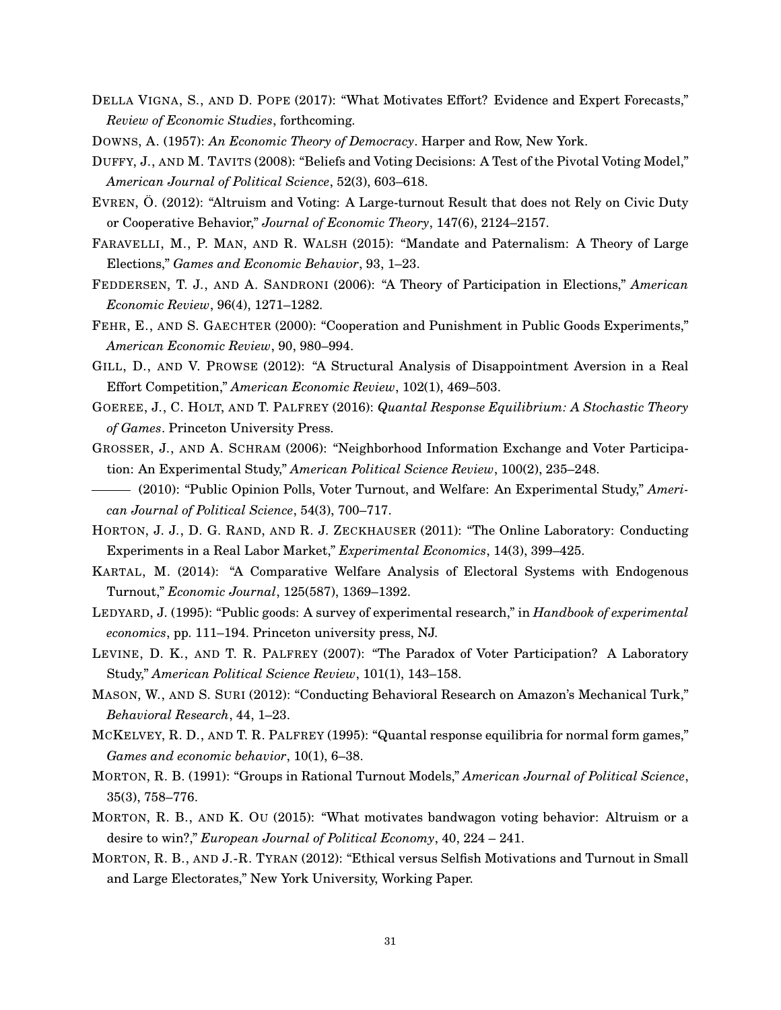- <span id="page-30-10"></span>DELLA VIGNA, S., AND D. POPE (2017): "What Motivates Effort? Evidence and Expert Forecasts," *Review of Economic Studies*, forthcoming.
- <span id="page-30-8"></span><span id="page-30-0"></span>DOWNS, A. (1957): *An Economic Theory of Democracy*. Harper and Row, New York.
- DUFFY, J., AND M. TAVITS (2008): "Beliefs and Voting Decisions: A Test of the Pivotal Voting Model," *American Journal of Political Science*, 52(3), 603–618.
- <span id="page-30-3"></span>EVREN, Ö. (2012): "Altruism and Voting: A Large-turnout Result that does not Rely on Civic Duty or Cooperative Behavior," *Journal of Economic Theory*, 147(6), 2124–2157.
- <span id="page-30-4"></span>FARAVELLI, M., P. MAN, AND R. WALSH (2015): "Mandate and Paternalism: A Theory of Large Elections," *Games and Economic Behavior*, 93, 1–23.
- <span id="page-30-2"></span>FEDDERSEN, T. J., AND A. SANDRONI (2006): "A Theory of Participation in Elections," *American Economic Review*, 96(4), 1271–1282.
- <span id="page-30-13"></span>FEHR, E., AND S. GAECHTER (2000): "Cooperation and Punishment in Public Goods Experiments," *American Economic Review*, 90, 980–994.
- <span id="page-30-6"></span>GILL, D., AND V. PROWSE (2012): "A Structural Analysis of Disappointment Aversion in a Real Effort Competition," *American Economic Review*, 102(1), 469–503.
- <span id="page-30-19"></span>GOEREE, J., C. HOLT, AND T. PALFREY (2016): *Quantal Response Equilibrium: A Stochastic Theory of Games*. Princeton University Press.
- <span id="page-30-7"></span>GROSSER, J., AND A. SCHRAM (2006): "Neighborhood Information Exchange and Voter Participation: An Experimental Study," *American Political Science Review*, 100(2), 235–248.
- <span id="page-30-9"></span>(2010): "Public Opinion Polls, Voter Turnout, and Welfare: An Experimental Study," *American Journal of Political Science*, 54(3), 700–717.
- <span id="page-30-12"></span>HORTON, J. J., D. G. RAND, AND R. J. ZECKHAUSER (2011): "The Online Laboratory: Conducting Experiments in a Real Labor Market," *Experimental Economics*, 14(3), 399–425.
- <span id="page-30-15"></span>KARTAL, M. (2014): "A Comparative Welfare Analysis of Electoral Systems with Endogenous Turnout," *Economic Journal*, 125(587), 1369–1392.
- <span id="page-30-17"></span>LEDYARD, J. (1995): "Public goods: A survey of experimental research," in *Handbook of experimental economics*, pp. 111–194. Princeton university press, NJ.
- <span id="page-30-5"></span>LEVINE, D. K., AND T. R. PALFREY (2007): "The Paradox of Voter Participation? A Laboratory Study," *American Political Science Review*, 101(1), 143–158.
- <span id="page-30-11"></span>MASON, W., AND S. SURI (2012): "Conducting Behavioral Research on Amazon's Mechanical Turk," *Behavioral Research*, 44, 1–23.
- <span id="page-30-18"></span>MCKELVEY, R. D., AND T. R. PALFREY (1995): "Quantal response equilibria for normal form games," *Games and economic behavior*, 10(1), 6–38.
- <span id="page-30-1"></span>MORTON, R. B. (1991): "Groups in Rational Turnout Models," *American Journal of Political Science*, 35(3), 758–776.
- <span id="page-30-14"></span>MORTON, R. B., AND K. OU (2015): "What motivates bandwagon voting behavior: Altruism or a desire to win?," *European Journal of Political Economy*, 40, 224 – 241.
- <span id="page-30-16"></span>MORTON, R. B., AND J.-R. TYRAN (2012): "Ethical versus Selfish Motivations and Turnout in Small and Large Electorates," New York University, Working Paper.